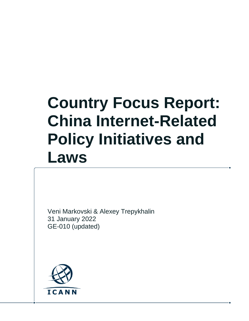# **Country Focus Report: China Internet-Related Policy Initiatives and Laws**

Veni Markovski & Alexey Trepykhalin 31 January 2022 GE-010 (updated)

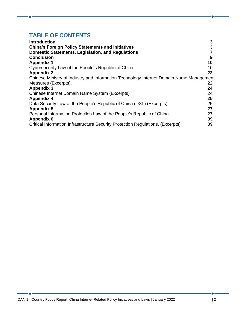### **TABLE OF CONTENTS**

| <b>Introduction</b>                                                                     | 3  |
|-----------------------------------------------------------------------------------------|----|
| <b>China's Foreign Policy Statements and Initiatives</b>                                | 3  |
| <b>Domestic Statements, Legislation, and Regulations</b>                                |    |
| <b>Conclusion</b>                                                                       | 9  |
| <b>Appendix 1</b>                                                                       | 10 |
| Cybersecurity Law of the People's Republic of China                                     | 10 |
| <b>Appendix 2</b>                                                                       | 22 |
| Chinese Ministry of Industry and Information Technology Internet Domain Name Management |    |
| Measures (Excerpts).                                                                    | 22 |
| <b>Appendix 3</b>                                                                       | 24 |
| Chinese Internet Domain Name System (Excerpts)                                          | 24 |
| <b>Appendix 4</b>                                                                       | 25 |
| Data Security Law of the People's Republic of China (DSL) (Excerpts)                    | 25 |
| <b>Appendix 5</b>                                                                       | 27 |
| Personal Information Protection Law of the People's Republic of China                   | 27 |
| <b>Appendix 6</b>                                                                       | 39 |
| Critical Information Infrastructure Security Protection Regulations. (Excerpts)         | 39 |

 $\bullet$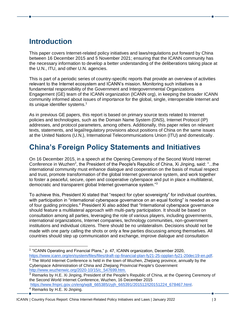### <span id="page-2-0"></span>**Introduction**

This paper covers Internet-related policy initiatives and laws/regulations put forward by China between 16 December 2015 and 5 November 2021; ensuring that the ICANN community has the necessary information to develop a better understanding of the deliberations taking place at the U.N., ITU, and other U.N. agencies.

This is part of a periodic series of country-specific reports that provide an overview of activities relevant to the Internet ecosystem and ICANN's mission. Monitoring such initiatives is a fundamental responsibility of the Government and Intergovernmental Organizations Engagement (GE) team of the ICANN organization (ICANN org), in keeping the broader ICANN community informed about issues of importance for the global, single, interoperable Internet and its unique identifier systems.<sup>1</sup>

As in previous GE papers, this report is based on primary source texts related to Internet policies and technologies, such as the Domain Name System (DNS), Internet Protocol (IP) addresses, and protocol parameters, among others. Additionally, this paper relies on relevant texts, statements, and legal/regulatory provisions about positions of China on the same issues at the United Nations (U.N.), International Telecommunications Union (ITU) and domestically.

# <span id="page-2-1"></span>**China's Foreign Policy Statements and Initiatives**

On 16 December 2015, in a speech at the Opening Ceremony of the Second World Internet Conference in Wuzhen<sup>2</sup>, the President of the People's Republic of China, Xi Jinping, said: "...the international community must enhance dialogue and cooperation on the basis of mutual respect and trust, promote transformation of the global Internet governance system, and work together to foster a peaceful, secure, open and cooperative cyberspace and put in place a multilateral, democratic and transparent global Internet governance system."<sup>3</sup>

To achieve this, President Xi stated that "respect for cyber sovereignty" for individual countries, with participation in "international cyberspace governance on an equal footing" is needed as one of four guiding principles.<sup>4</sup> President Xi also added that "International cyberspace governance should feature a multilateral approach with multi-party participation. It should be based on consultation among all parties, leveraging the role of various players, including governments, international organizations, Internet companies, technology communities, non-government institutions and individual citizens. There should be no unilateralism. Decisions should not be made with one party calling the shots or only a few parties discussing among themselves. All countries should step up communication and exchange, improve dialogue and consultation

ICANN | Country Focus Report: China Internet-Related Policy Initiatives and Laws | January 2022 | 3

<sup>&</sup>lt;sup>1</sup> "ICANN Operating and Financial Plans," p. 47, ICANN organization, December 2020, [https://www.icann.org/en/system/files/files/draft-op-financial-plan-fy21-25-opplan-fy21-20dec19-en.pdf.](https://www.icann.org/en/system/files/files/draft-op-financial-plan-fy21-25-opplan-fy21-20dec19-en.pdf)

 $2$  The World Internet Conference is held in the town of Wuzhen, Zhejiang province, annually by the Cyberspace Administration of China and Zhejiang Provincial People's Government [http://www.wuzhenwic.org/2020-10/15/c\\_547699.htm.](http://www.wuzhenwic.org/2020-10/15/c_547699.htm)

<sup>&</sup>lt;sup>3</sup> Remarks by H.E. Xi Jinping, President of the People's Republic of China, at the Opening Ceremony of the Second World Internet Conference, Wuzhen, 16 December 2015 [https://www.fmprc.gov.cn/eng/wjdt\\_665385/zyjh\\_665391/201512/t20151224\\_678467.html.](https://www.fmprc.gov.cn/eng/wjdt_665385/zyjh_665391/201512/t20151224_678467.html) <sup>4</sup> Remarks by H.E. Xi Jinping.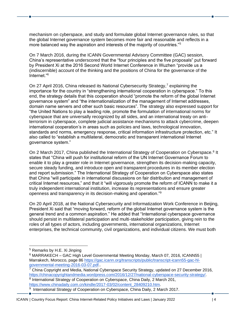mechanism on cyberspace, and study and formulate global Internet governance rules, so that the global Internet governance system becomes more fair and reasonable and reflects in a more balanced way the aspiration and interests of the majority of countries."<sup>5</sup>

On 7 March 2016, during the ICANN Governmental Advisory Committee (GAC) session, China's representative underscored that the "four principles and the five proposals" put forward by President Xi at the 2016 Second World Internet Conference in Wuzhen "provide us a (indiscernible) account of the thinking and the positions of China for the governance of the Internet."<sup>6</sup>

On 27 April 2016, China released its National Cybersecurity Strategy,<sup>7</sup> explaining the importance for the country in "strengthening international cooperation in cyberspace." To this end, the strategy details that this cooperation should "promote the reform of the global Internet governance system" and "the internationalization of the management of Internet addresses, domain name servers and other such basic resources". The strategy also expressed support for "the United Nations to play a leading role, promote the formulation of international norms for cyberspace that are universally recognized by all sides, and an international treaty on antiterrorism in cyberspace, complete judicial assistance mechanisms to attack cybercrime, deepen international cooperation's in areas such as policies and laws, technological innovation, standards and norms, emergency response, critical information infrastructure protection, etc." It also called to "establish a multilateral, democratic and transparent international Internet governance system."

On 2 March 2017, China published the International Strategy of Cooperation on Cyberspace.<sup>8</sup> It states that "China will push for institutional reform of the UN Internet Governance Forum to enable it to play a greater role in Internet governance, strengthen its decision-making capacity, secure steady funding, and introduce open and transparent procedures in its member election and report submission." The International Strategy of Cooperation on Cyberspace also states that China "will participate in international discussions on fair distribution and management of critical Internet resources," and that it "will vigorously promote the reform of ICANN to make it a truly independent international institution, increase its representations and ensure greater openness and transparency in its decision-making and operation."<sup>9</sup>

On 20 April 2018, at the National Cybersecurity and Informatization Work Conference in Beijing, President Xi said that "moving forward, reform of the global Internet governance system is the general trend and a common aspiration." He added that "International cyberspace governance should persist in multilateral participation and multi-stakeholder participation, giving rein to the roles of all types of actors, including governments, international organizations, Internet enterprises, the technical community, civil organizations, and individual citizens. We must both

 $\frac{7}{7}$  [China Copyright and Media,](https://chinacopyrightandmedia.wordpress.com/) [National Cyberspace Security Strategy,](https://chinacopyrightandmedia.wordpress.com/2016/12/27/national-cyberspace-security-strategy/) updated on 27 December 2016, [https://chinacopyrightandmedia.wordpress.com/2016/12/27/national-cyberspace-security-strategy/.](https://chinacopyrightandmedia.wordpress.com/2016/12/27/national-cyberspace-security-strategy/) <sup>8</sup> International Strategy of Cooperation on Cyberspace, China Daily, 2 March 201, [https://www.chinadaily.com.cn/kindle/2017-03/02/content\\_28409210.htm.](https://www.chinadaily.com.cn/kindle/2017-03/02/content_28409210.htm) 9

<sup>5</sup> Remarks by H.E. Xi Jinping

<sup>6</sup> MARRAKECH – GAC High Level Governmental Meeting Monday, March 07, 2016, ICANN55 | Marrakech, Morocco, page 86 [https://gac.icann.org/transcripts/public/transcript-icann55-gac-hl](https://gac.icann.org/transcripts/public/transcript-icann55-gac-hl-governmental-meeting-2016-03-07.pdf)[governmental-meeting-2016-03-07.pdf.](https://gac.icann.org/transcripts/public/transcript-icann55-gac-hl-governmental-meeting-2016-03-07.pdf).

International Strategy of Cooperation on Cyberspace, China Daily, 2 March 2017.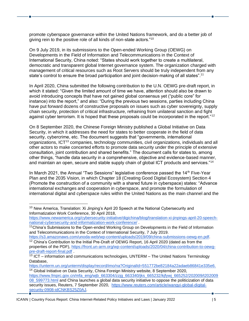promote cyberspace governance within the United Nations framework, and do a better job of giving rein to the positive role of all kinds of non-state actors."<sup>10</sup>

On 9 July 2019, in its submissions to the Open-ended Working Group (OEWG) on Developments in the Field of Information and Telecommunications in the Context of International Security, China noted: "States should work together to create a multilateral, democratic and transparent global Internet governance system. The organization charged with management of critical resources such as Root Servers should be truly independent from any state's control to ensure the broad participation and joint decision-making of all states".<sup>11</sup>

In April 2020, China submitted the following contribution to the U.N. OEWG pre-draft report, in which it stated: "Given the limited amount of time we have, attention should also be drawn to avoid introducing concepts that have not gained global consensus yet ("public core" for instance) into the report," and also: "During the previous two sessions, parties including China have put forward dozens of constructive proposals on issues such as cyber sovereignty, supply chain security, protection of critical infrastructure, refraining from unilateral sanction and fight against cyber terrorism. It is hoped that these proposals could be incorporated in the report."<sup>12</sup>

On 8 September 2020, the Chinese Foreign Ministry published a Global Initiative on Data Security, in which it addresses the need for states to better cooperate in the field of data security, cybercrime, etc. The document suggests that "governments, international organizations, ICT<sup>13</sup> companies, technology communities, civil organizations, individuals and all other actors to make concerted efforts to promote data security under the principle of extensive consultation, joint contribution and shared benefits." The document calls for states to, among other things, "handle data security in a comprehensive, objective and evidence-based manner, and maintain an open, secure and stable supply chain of global ICT products and services."<sup>14</sup>

In March 2021, the Annual "Two Sessions" legislative conference passed the  $14<sup>th</sup>$  Five-Year Plan and the 2035 Vision, in which Chapter 18 (Creating Good Digital Ecosystem) Section 4 (Promote the construction of a community with a shared future in cyberspace) states: "Advance international exchanges and cooperation in cyberspace, and promote the formulation of international digital and cyberspace rules within the United Nations as the main channel and the

[https://s3.amazonaws.com/unoda-web/wp-content/uploads/2019/09/china-submissions-oewg-en.pdf.](https://s3.amazonaws.com/unoda-web/wp-content/uploads/2019/09/china-submissions-oewg-en.pdf) <sup>12</sup> China's Contribution to the Initial Pre-Draft of OEWG Report, 16 April 2020 (dated as from the

<sup>&</sup>lt;sup>10</sup> New America, Translation: Xi Jinping's April 20 Speech at the National Cybersecurity and Informatization Work Conference, 30 April 2018,

[https://www.newamerica.org/cybersecurity-initiative/digichina/blog/translation-xi-jinpings-april-20-speech](https://www.newamerica.org/cybersecurity-initiative/digichina/blog/translation-xi-jinpings-april-20-speech-national-cybersecurity-and-informatization-work-conference/)[national-cybersecurity-and-informatization-work-conference/](https://www.newamerica.org/cybersecurity-initiative/digichina/blog/translation-xi-jinpings-april-20-speech-national-cybersecurity-and-informatization-work-conference/) .

<sup>&</sup>lt;sup>11</sup>China's Submissions to the Open-ended Working Group on Developments in the Field of Information and Telecommunications in the Context of International Security, 7 July 2019.

properties of the PDF), [https://front.un-arm.org/wp-content/uploads/2020/04/china-contribution-to-oewg](https://front.un-arm.org/wp-content/uploads/2020/04/china-contribution-to-oewg-pre-draft-report-final.pdf)[pre-draft-report-final.pdf](https://front.un-arm.org/wp-content/uploads/2020/04/china-contribution-to-oewg-pre-draft-report-final.pdf) [.](https://front.un-arm.org/wp-content/uploads/2020/04/china-contribution-to-oewg-pre-draft-report-final.pdf)

 $13$  ICT – information and communications technologies, UNTERM – The United Nations Terminology Database,

[https://unterm.un.org/unterm/display/record/imo/na?OriginalId=551772be82184a22adaeb86841e335e6.](https://unterm.un.org/unterm/display/record/imo/na?OriginalId=551772be82184a22adaeb86841e335e6) <sup>14</sup> Global Initiative on Data Security, China Foreign Ministry website, 8 September 2020,

[https://www.fmprc.gov.cn/mfa\\_eng/wjb\\_663304/zzjg\\_663340/jks\\_665232/kjfywj\\_665252/202009/t202009](https://www.fmprc.gov.cn/mfa_eng/wjb_663304/zzjg_663340/jks_665232/kjfywj_665252/202009/t20200908_599773.html) [08\\_599773.html](https://www.fmprc.gov.cn/mfa_eng/wjb_663304/zzjg_663340/jks_665232/kjfywj_665252/202009/t20200908_599773.html) and China launches a global data security initiative to oppose the politicization of data security issues, Reuters, 7 September 2020, [https://www.reuters.com/article/wangyi-global-digital](https://www.reuters.com/article/wangyi-global-digital-security-0908-idCNKBS25Z0AJ)[security-0908-idCNKBS25Z0AJ.](https://www.reuters.com/article/wangyi-global-digital-security-0908-idCNKBS25Z0AJ)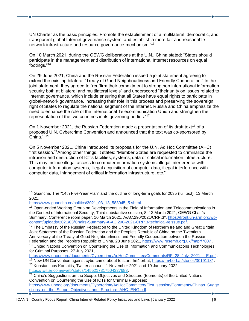UN Charter as the basic principles. Promote the establishment of a multilateral, democratic, and transparent global Internet governance system, and establish a more fair and reasonable network infrastructure and resource governance mechanism."<sup>15</sup>

On 10 March 2021, during the OEWG deliberations at the U.N., China stated: "States should participate in the management and distribution of international Internet resources on equal footings."<sup>16</sup>

On 29 June 2021, China and the Russian Federation issued a joint statement agreeing to extend the existing bilateral "Treaty of Good Neighbourliness and Friendly Cooperation." In the joint statement, they agreed to "reaffirm their commitment to strengthen international information security both at bilateral and multilateral levels" and underscored "their unity on issues related to Internet governance, which include ensuring that all States have equal rights to participate in global-network governance, increasing their role in this process and preserving the sovereign right of States to regulate the national segment of the Internet. Russia and China emphasize the need to enhance the role of the International Telecommunication Union and strengthen the representation of the two countries in its governing bodies."<sup>17</sup>

On 1 November 2021, the Russian Federation made a presentation of its draft text<sup>18</sup> of a proposed U.N. Cybercrime Convention and announced that the text was co-sponsored by  $China.19,20$ 

On 5 November 2021, China introduced its proposals for the U.N. Ad Hoc Committee (AHC) first session.<sup>21</sup>Among other things, it states: "Member States are requested to criminalize the intrusion and destruction of ICTs facilities, systems, data or critical information infrastructure. This may include illegal access to computer information systems, illegal interference with computer information systems, illegal acquisition of computer data, illegal interference with computer data, infringement of critical information infrastructure, etc."

[https://www.guancha.cn/politics/2021\\_03\\_13\\_583945\\_5.shtml.](https://www.guancha.cn/politics/2021_03_13_583945_5.shtml)

[https://www.unodc.org/documents/Cybercrime/AdHocCommittee/Comments/RF\\_28\\_July\\_2021\\_-\\_E.pdf](https://www.unodc.org/documents/Cybercrime/AdHocCommittee/Comments/RF_28_July_2021_-_E.pdf)

<sup>19</sup> New UN Convention against cybercrime about to start, fm4.orf.at,<https://fm4.orf.at/stories/3019118/>. <sup>20</sup> Konstantinos Komaitis, Twitter account, 1 November 2021 and 19 January 2022,

[https://twitter.com/i/web/status/1455217317504327683.](https://twitter.com/i/web/status/1455217317504327683)

<sup>&</sup>lt;sup>15</sup> Guancha, The "14th Five-Year Plan" and the outline of long-term goals for 2035 (full text), 13 March 2021,

<sup>&</sup>lt;sup>16</sup> Open-ended Working Group on Developments in the Field of Information and Telecommunications in the Context of International Security, Third substantive session, 8–12 March 2021, OEWG Chair's Summary, Conference room paper, 10 March 2021, A/AC.290/2021/CRP.3\*, [https://front.un-arm.org/wp](https://front.un-arm.org/wp-content/uploads/2021/03/Chairs-Summary-A-AC.290-2021-CRP.3-technical-reissue.pdf)[content/uploads/2021/03/Chairs-Summary-A-AC.290-2021-CRP.3-technical-reissue.pdf.](https://front.un-arm.org/wp-content/uploads/2021/03/Chairs-Summary-A-AC.290-2021-CRP.3-technical-reissue.pdf)

<sup>&</sup>lt;sup>17</sup> The Embassy of the Russian Federation to the United Kingdom of Northern Ireland and Great Britain, Joint Statement of the Russian Federation and the People's Republic of China on the Twentieth Anniversary of the Treaty of Good Neighbourliness and Friendly Cooperation between the Russian Federation and the People's Republic of China, 28 June 2021,<https://www.rusemb.org.uk/fnapr/7007>

<sup>&</sup>lt;sup>18</sup> United Nations Convention on Countering the Use of Information and Communications Technologies for Criminal Purposes, 27 July 2021,

 $21$  China's Suggestions on the Scope, Objectives and Structure (Elements) of the United Nations Convention on Countering the Use of ICTs for Criminal Purposes: [https://www.unodc.org/documents/Cybercrime/AdHocCommittee/First\\_session/Comments/Chinas\\_Sugge](https://www.unodc.org/documents/Cybercrime/AdHocCommittee/First_session/Comments/Chinas_Suggestions_on_the_Scope_Objectives_and_Structure_AHC_ENG.pdf) [stions\\_on\\_the\\_Scope\\_Objectives\\_and\\_Structure\\_AHC\\_ENG.pdf.](https://www.unodc.org/documents/Cybercrime/AdHocCommittee/First_session/Comments/Chinas_Suggestions_on_the_Scope_Objectives_and_Structure_AHC_ENG.pdf)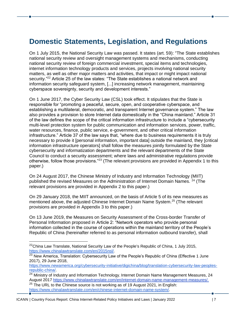## <span id="page-6-0"></span>**Domestic Statements, Legislation, and Regulations**

On 1 July 2015, the National Security Law was passed. It states (art. 59): "The State establishes national security review and oversight management systems and mechanisms, conducting national security review of foreign commercial investment, special items and technologies, internet information technology products and services, projects involving national security matters, as well as other major matters and activities, that impact or might impact national security."<sup>22</sup> Article 25 of the law states: "The State establishes a national network and information security safeguard system, [...] increasing network management, maintaining cyberspace sovereignty, security and development interests."

On 1 June 2017, the Cyber Security Law (CSL) took effect. It stipulates that the State is responsible for "promoting a peaceful, secure, open, and cooperative cyberspace, and establishing a multilateral, democratic, and transparent Internet governance system." The law also provides a provision to store Internet data domestically in the "China mainland." Article 31 of the law defines the scope of the critical information infrastructure to include a "cybersecurity multi-level protection system for public communication and information services, power, traffic, water resources, finance, public service, e-government, and other critical information infrastructure." Article 37 of the law says that, "where due to business requirements it is truly necessary to provide it [personal information, important data] outside the mainland, they [critical information infrastructure operators] shall follow the measures jointly formulated by the State cybersecurity and informatization departments and the relevant departments of the State Council to conduct a security assessment; where laws and administrative regulations provide otherwise, follow those provisions."<sup>23</sup> (The relevant provisions are provided in Appendix 1 to this paper.)

On 24 August 2017, the Chinese Ministry of Industry and Information Technology (MIIT) published the revised Measures on the Administration of Internet Domain Names. <sup>24</sup> (The relevant provisions are provided in Appendix 2 to this paper.)

On 29 January 2018, the MIIT announced, on the basis of Article 5 of its new measures as mentioned above, the adjusted Chinese Internet Domain Name System.<sup>25</sup> (The relevant provisions are provided in Appendix 3 to this paper.)

On 13 June 2019, the Measures on Security Assessment of the Cross-border Transfer of Personal Information proposed in Article 2: "Network operators who provide personal information collected in the course of operations within the mainland territory of the People's Republic of China (hereinafter referred to as personal information outbound transfer), shall

<sup>&</sup>lt;sup>22</sup>China Law Translate, National Security Law of the People's Republic of China, 1 July 2015, [https://www.chinalawtranslate.com/en/2015nsl/.](https://www.chinalawtranslate.com/en/2015nsl/)

<sup>&</sup>lt;sup>23</sup> New America, Translation: Cybersecurity Law of the People's Republic of China (Effective 1 June 2017), 29 June 2018,

[https://www.newamerica.org/cybersecurity-initiative/digichina/blog/translation-cybersecurity-law-peoples](https://www.newamerica.org/cybersecurity-initiative/digichina/blog/translation-cybersecurity-law-peoples-republic-china/)[republic-china/.](https://www.newamerica.org/cybersecurity-initiative/digichina/blog/translation-cybersecurity-law-peoples-republic-china/)

 $24$  Ministry of Industry and Information Technology, Internet Domain Name Management Measures, 24 August 2017 https://www.chinalawtranslate.com/en/internet-domain-name-management-measures/.

 $25$  The URL to the Chinese source is not working as of 19 August 2021, in English: [https://www.chinalawtranslate.com/en/chinese-internet-domain-name-system/.](https://www.chinalawtranslate.com/en/chinese-internet-domain-name-system/)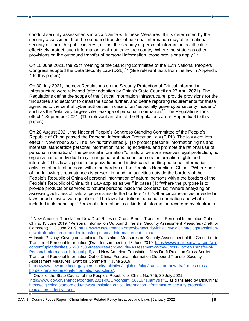conduct security assessments in accordance with these Measures. If it is determined by the security assessment that the outbound transfer of personal information may affect national security or harm the public interest, or that the security of personal information is difficult to effectively protect, such information shall not leave the country. Where the state has other provisions on the outbound transfer of personal information, those provisions apply." <sup>26</sup>

On 10 June 2021, the 29th meeting of the Standing Committee of the 13th National People's Congress adopted the Data Security Law (DSL).<sup>27</sup> (See relevant texts from the law in Appendix 4 to this paper.)

On 30 July 2021, the new Regulations on the Security Protection of Critical Information Infrastructure were released (after adoption by China's State Council on 27 April 2021). The Regulations define the scope of the Critical Information Infrastructure, provide provisions for the "industries and sectors'' to detail the scope further, and define reporting requirements for these agencies to the central cyber authorities in case of an "especially grave cybersecurity incident," such as the "relatively large-scale" leakage of personal information.<sup>28</sup> The Regulations took effect 1 September 2021. (The relevant articles of the Regulations are in Appendix 6 to this paper.)

On 20 August 2021, the National People's Congress Standing Committee of the People's Republic of China passed the Personal Information Protection Law (PIPL). The law went into effect 1 November 2021. The law "is formulated [...] to protect personal information rights and interests, standardize personal information handling activities, and promote the rational use of personal information." The personal information "of natural persons receives legal protection; no organization or individual may infringe natural persons' personal information rights and interests." This law "applies to organizations and individuals handling personal information activities of natural persons within the borders of the People's Republic of China." "Where one of the following circumstances is present in handling activities outside the borders of the People's Republic of China of personal information of natural persons within the borders of the People's Republic of China, this Law applies as well" in cases (1) "Where the purpose is to provide products or services to natural persons inside the borders;" (2) "Where analyzing or assessing activities of natural persons inside the borders;" (3) "Other circumstances provided in laws or administrative regulations." The law also defines personal information and what is included in its handling: "Personal information is all kinds of information recorded by electronic

[https://www.newamerica.org/cybersecurity-initiative/digichina/blog/translation-new-draft-rules-cross](https://www.newamerica.org/cybersecurity-initiative/digichina/blog/translation-new-draft-rules-cross-border-transfer-personal-information-out-china/)[border-transfer-personal-information-out-china/.](https://www.newamerica.org/cybersecurity-initiative/digichina/blog/translation-new-draft-rules-cross-border-transfer-personal-information-out-china/)

<sup>28</sup> Order of the State Council of the People's Republic of China No. 745, 30 July 2021, [http://www.gov.cn/zhengce/content/2021-08/17/content\\_5631671.htm?trs=1,](http://www.gov.cn/zhengce/content/2021-08/17/content_5631671.htm?trs=1) as translated by DigiChina: [https://digichina.stanford.edu/news/translation-critical-information-infrastructure-security-protection](https://digichina.stanford.edu/news/translation-critical-information-infrastructure-security-protection-regulations-effective-sept)[regulations-effective-sept.](https://digichina.stanford.edu/news/translation-critical-information-infrastructure-security-protection-regulations-effective-sept)

<sup>&</sup>lt;sup>26</sup> New America, Translation: New Draft Rules on Cross-Border Transfer of Personal Information Out of China, 13 June 2019, "Personal Information Outbound Transfer Security Assessment Measures (Draft for Comment)," 13 June 2019, [https://www.newamerica.org/cybersecurity-initiative/digichina/blog/translation](https://www.newamerica.org/cybersecurity-initiative/digichina/blog/translation-new-draft-rules-cross-border-transfer-personal-information-out-china/)[new-draft-rules-cross-border-transfer-personal-information-out-china/.](https://www.newamerica.org/cybersecurity-initiative/digichina/blog/translation-new-draft-rules-cross-border-transfer-personal-information-out-china/)

<sup>&</sup>lt;sup>27</sup> Inside Privacy, Covington Unofficial Translation: Measures on Security Assessment of the Cross-border Transfer of Personal Information (Draft for comments), 13 June 2019, [https://www.insideprivacy.com/wp](https://www.insideprivacy.com/wp-content/uploads/sites/51/2019/06/Measures-for-Security-Assessment-of-the-Cross-Border-Transfer-of-Personal-Information_bilingual.pdf)[content/uploads/sites/51/2019/06/Measures-for-Security-Assessment-of-the-Cross-Border-Transfer-of-](https://www.insideprivacy.com/wp-content/uploads/sites/51/2019/06/Measures-for-Security-Assessment-of-the-Cross-Border-Transfer-of-Personal-Information_bilingual.pdf)Personal-Information bilingual.pdf, and New America, Translation: New Draft Rules on Cross-Border Transfer of Personal Information Out of China 'Personal Information Outbound Transfer Security Assessment Measures (Draft for Comment)," June 2019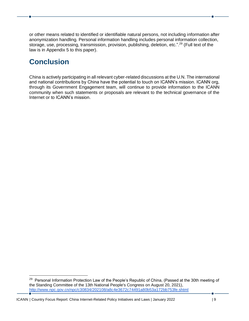or other means related to identified or identifiable natural persons, not including information after anonymization handling. Personal information handling includes personal information collection, storage, use, processing, transmission, provision, publishing, deletion, etc.".<sup>29</sup> (Full text of the law is in Appendix 5 to this paper).

# <span id="page-8-0"></span>**Conclusion**

China is actively participating in all relevant cyber-related discussions at the U.N. The international and national contributions by China have the potential to touch on ICANN's mission. ICANN org, through its Government Engagement team, will continue to provide information to the ICANN community when such statements or proposals are relevant to the technical governance of the Internet or to ICANN's mission.

<sup>&</sup>lt;sup>29</sup> Personal Information Protection Law of the People's Republic of China, (Passed at the 30th meeting of the Standing Committee of the 13th National People's Congress on August 20, 2021), <http://www.npc.gov.cn/npc/c30834/202108/a8c4e3672c74491a80b53a172bb753fe.shtml>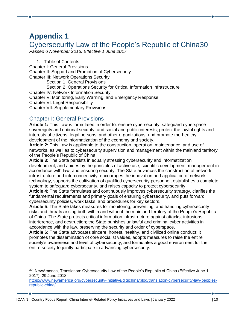### <span id="page-9-1"></span><span id="page-9-0"></span>**Appendix 1** Cybersecurity Law of the People's Republic of China30

*Passed 6 November 2016. Effective 1 June 2017.*

1. Table of Contents Chapter I: General Provisions Chapter II: Support and Promotion of Cybersecurity Chapter III: Network Operations Security Section 1: General Provisions Section 2: Operations Security for Critical Information Infrastructure Chapter IV: Network Information Security Chapter V: Monitoring, Early Warning, and Emergency Response Chapter VI: Legal Responsibility Chapter VII: Supplementary Provisions

### Chapter I: General Provisions

**Article 1:** This Law is formulated in order to: ensure cybersecurity; safeguard cyberspace sovereignty and national security, and social and public interests; protect the lawful rights and interests of citizens, legal persons, and other organizations; and promote the healthy development of the informatization of the economy and society.

**Article 2:** This Law is applicable to the construction, operation, maintenance, and use of networks, as well as to cybersecurity supervision and management within the mainland territory of the People's Republic of China.

**Article 3:** The State persists in equally stressing cybersecurity and informatization development, and abides by the principles of active use, scientific development, management in accordance with law, and ensuring security. The State advances the construction of network infrastructure and interconnectivity, encourages the innovation and application of network technology, supports the cultivation of qualified cybersecurity personnel, establishes a complete system to safeguard cybersecurity, and raises capacity to protect cybersecurity.

**Article 4:** The State formulates and continuously improves cybersecurity strategy, clarifies the fundamental requirements and primary goals of ensuring cybersecurity, and puts forward cybersecurity policies, work tasks, and procedures for key sectors.

**Article 5**: The State takes measures for monitoring, preventing, and handling cybersecurity risks and threats arising both within and without the mainland territory of the People's Republic of China. The State protects critical information infrastructure against attacks, intrusions, interference, and destruction; the State punishes unlawful and criminal cyber activities in accordance with the law, preserving the security and order of cyberspace.

**Article 6:** The State advocates sincere, honest, healthy, and civilized online conduct; it promotes the dissemination of core socialist values, adopts measures to raise the entire society's awareness and level of cybersecurity, and formulates a good environment for the entire society to jointly participate in advancing cybersecurity.

 $^{30}$  NewAmerica, Translation: Cybersecurity Law of the People's Republic of China (Effective June 1, 2017), 29 June 2018,

[https://www.newamerica.org/cybersecurity-initiative/digichina/blog/translation-cybersecurity-law-peoples](https://www.newamerica.org/cybersecurity-initiative/digichina/blog/translation-cybersecurity-law-peoples-republic-china/)[republic-china/](https://www.newamerica.org/cybersecurity-initiative/digichina/blog/translation-cybersecurity-law-peoples-republic-china/)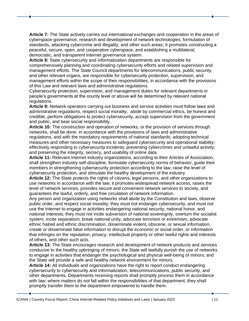**Article 7:** The State actively carries out international exchanges and cooperation in the areas of cyberspace governance, research and development of network technologies, formulation of standards, attacking cybercrime and illegality, and other such areas; it promotes constructing a peaceful, secure, open, and cooperative cyberspace, and establishing a multilateral, democratic, and transparent Internet governance system.

**Article 8:** State cybersecurity and informatization departments are responsible for comprehensively planning and coordinating cybersecurity efforts and related supervision and management efforts. The State Council departments for telecommunications, public security, and other relevant organs, are responsible for cybersecurity protection, supervision, and management efforts within the scope of their responsibilities, in accordance with the provisions of this Law and relevant laws and administrative regulations.

Cybersecurity protection, supervision, and management duties for relevant departments in people's governments at the county level or above will be determined by relevant national regulations.

**Article 9:** Network operators carrying out business and service activities must follow laws and administrative regulations, respect social morality, abide by commercial ethics, be honest and credible, perform obligations to protect cybersecurity, accept supervision from the government and public, and bear social responsibility.

**Article 10:** The construction and operation of networks, or the provision of services through networks, shall be done: in accordance with the provisions of laws and administrative regulations, and with the mandatory requirements of national standards; adopting technical measures and other necessary measures to safeguard cybersecurity and operational stability; effectively responding to cybersecurity incidents; preventing cybercrimes and unlawful activity; and preserving the integrity, secrecy, and usability of online data.

**Article 11:** Relevant Internet industry organizations, according to their Articles of Association, shall strengthen industry self-discipline, formulate cybersecurity norms of behavior, guide their members in strengthening cybersecurity protection according to the law, raise the level of cybersecurity protection, and stimulate the healthy development of the industry.

**Article 12:** The State protects the rights of citizens, legal persons, and other organizations to use networks in accordance with the law; it promotes widespread network access, raises the level of network services, provides secure and convenient network services to society, and guarantees the lawful, orderly, and free circulation of network information.

Any person and organization using networks shall abide by the Constitution and laws, observe public order, and respect social morality; they must not endanger cybersecurity, and must not use the Internet to engage in activities endangering national security, national honor, and national interests; they must not incite subversion of national sovereignty, overturn the socialist system, incite separatism, break national unity, advocate terrorism or extremism, advocate ethnic hatred and ethnic discrimination, disseminate violent, obscene, or sexual information, create or disseminate false information to disrupt the economic or social order, or information that infringes on the reputation, privacy, intellectual property or other lawful rights and interests of others, and other such acts.

**Article 13:** The State encourages research and development of network products and services conducive to the healthy upbringing of minors; the State will lawfully punish the use of networks to engage in activities that endanger the psychological and physical well-being of minors; and the State will provide a safe and healthy network environment for minors.

**Article 14:** All individuals and organizations have the right to report conduct endangering cybersecurity to cybersecurity and informatization, telecommunications, public security, and other departments. Departments receiving reports shall promptly process them in accordance with law; where matters do not fall within the responsibilities of that department, they shall promptly transfer them to the department empowered to handle them.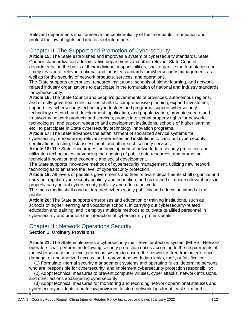Relevant departments shall preserve the confidentiality of the informants' information and protect the lawful rights and interests of informants.

### Chapter II: The Support and Promotion of Cybersecurity

**Article 15:** The State establishes and improves a system of cybersecurity standards. State Council standardization administrative departments and other relevant State Council departments, on the basis of their individual responsibilities, shall organize the formulation and timely revision of relevant national and industry standards for cybersecurity management, as well as for the security of network products, services, and operations.

The State supports enterprises, research institutions, schools of higher learning, and networkrelated industry organizations to participate in the formulation of national and industry standards for cybersecurity.

**Article 16:** The State Council and people's governments of provinces, autonomous regions, and directly-governed municipalities shall: do comprehensive planning; expand investment; support key cybersecurity technology industries and programs; support cybersecurity technology research and development, application, and popularization; promote secure and trustworthy network products and services; protect intellectual property rights for network technologies; and support research and development institutions, schools of higher learning, etc., to participate in State cybersecurity technology innovation programs.

**Article 17:** The State advances the establishment of socialized service systems for cybersecurity, encouraging relevant enterprises and institutions to carry out cybersecurity certifications, testing, risk assessment, and other such security services.

**Article 18:** The State encourages the development of network data security protection and utilization technologies, advancing the opening of public data resources, and promoting technical innovation and economic and social development.

The State supports innovative methods of cybersecurity management, utilizing new network technologies to enhance the level of cybersecurity protection.

**Article 19:** All levels of people's governments and their relevant departments shall organize and carry out regular cybersecurity publicity and education, and guide and stimulate relevant units in properly carrying out cybersecurity publicity and education work.

The mass media shall conduct targeted cybersecurity publicity and education aimed at the public.

**Article 20:** The State supports enterprises and education or training institutions, such as schools of higher learning and vocational schools, in carrying out cybersecurity-related education and training, and it employs multiple methods to cultivate qualified personnel in cybersecurity and promote the interaction of cybersecurity professionals.

### Chapter III: Network Operations Security

#### **Section 1: Ordinary Provisions**

**Article 21:** The State implements a cybersecurity multi-level protection system [MLPS]. Network operators shall perform the following security protection duties according to the requirements of the cybersecurity multi-level protection system to ensure the network is free from interference, damage, or unauthorized access, and to prevent network data leaks, theft, or falsification:

 (1) Formulate internal security management systems and operating rules, determine persons who are responsible for cybersecurity, and implement cybersecurity protection responsibility;

 (2) Adopt technical measures to prevent computer viruses, cyber attacks, network intrusions, and other actions endangering cybersecurity;

 (3) Adopt technical measures for monitoring and recording network operational statuses and cybersecurity incidents, and follow provisions to store network logs for at least six months;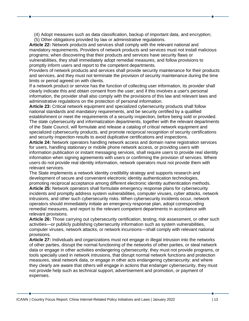(4) Adopt measures such as data classification, backup of important data, and encryption; (5) Other obligations provided by law or administrative regulations.

**Article 22:** Network products and services shall comply with the relevant national and mandatory requirements. Providers of network products and services must not install malicious programs; when discovering that their products and services have security flaws or vulnerabilities, they shall immediately adopt remedial measures, and follow provisions to promptly inform users and report to the competent departments.

Providers of network products and services shall provide security maintenance for their products and services, and they must not terminate the provision of security maintenance during the time limits or period agreed on with clients.

If a network product or service has the function of collecting user information, its provider shall clearly indicate this and obtain consent from the user; and if this involves a user's personal information, the provider shall also comply with the provisions of this law and relevant laws and administrative regulations on the protection of personal information.

**Article 23:** Critical network equipment and specialized cybersecurity products shall follow national standards and mandatory requirements, and be security certified by a qualified establishment or meet the requirements of a security inspection, before being sold or provided. The state cybersecurity and informatization departments, together with the relevant departments of the State Council, will formulate and release a catalog of critical network equipment and specialized cybersecurity products, and promote reciprocal recognition of security certifications and security inspection results to avoid duplicative certifications and inspections.

**Article 24:** Network operators handling network access and domain name registration services for users, handling stationary or mobile phone network access, or providing users with information publication or instant messaging services, shall require users to provide real identity information when signing agreements with users or confirming the provision of services. Where users do not provide real identity information, network operators must not provide them with relevant services.

The State implements a network identity credibility strategy and supports research and development of secure and convenient electronic identity authentication technologies, promoting reciprocal acceptance among different electronic identity authentication methods. **Article 25:** Network operators shall formulate emergency response plans for cybersecurity incidents and promptly address system vulnerabilities, computer viruses, cyber attacks, network intrusions, and other such cybersecurity risks. When cybersecurity incidents occur, network operators should immediately initiate an emergency response plan, adopt corresponding remedial measures, and report to the relevant competent departments in accordance with relevant provisions.

**Article 26:** Those carrying out cybersecurity certification, testing, risk assessment, or other such activities—or publicly publishing cybersecurity information such as system vulnerabilities, computer viruses, network attacks, or network incursions—shall comply with relevant national provisions.

**Article 27:** Individuals and organizations must not engage in illegal intrusion into the networks of other parties, disrupt the normal functioning of the networks of other parties, or steal network data or engage in other activities endangering cybersecurity; they must not provide programs, or tools specially used in network intrusions, that disrupt normal network functions and protection measures, steal network data, or engage in other acts endangering cybersecurity; and where they clearly are aware that others will engage in actions that endanger cybersecurity, they must not provide help such as technical support, advertisement and promotion, or payment of expenses.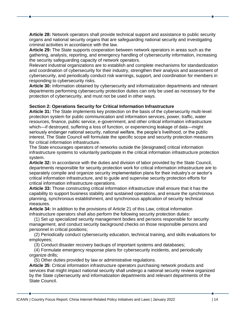**Article 28:** Network operators shall provide technical support and assistance to public security organs and national security organs that are safeguarding national security and investigating criminal activities in accordance with the law.

**Article 29:** The State supports cooperation between network operators in areas such as the gathering, analysis, reporting, and emergency handling of cybersecurity information, increasing the security safeguarding capacity of network operators.

Relevant industrial organizations are to establish and complete mechanisms for standardization and coordination of cybersecurity for their industry, strengthen their analysis and assessment of cybersecurity, and periodically conduct risk warnings, support, and coordination for members in responding to cybersecurity risks.

**Article 30:** Information obtained by cybersecurity and informatization departments and relevant departments performing cybersecurity protection duties can only be used as necessary for the protection of cybersecurity, and must not be used in other ways.

#### **Section 2: Operations Security for Critical Information Infrastructure**

**Article 31:** The State implements key protection on the basis of the cybersecurity multi-level protection system for public communication and information services, power, traffic, water resources, finance, public service, e-government, and other critical information infrastructure which—if destroyed, suffering a loss of function, or experiencing leakage of data—might seriously endanger national security, national welfare, the people's livelihood, or the public interest. The State Council will formulate the specific scope and security protection measures for critical information infrastructure.

The State encourages operators of networks outside the [designated] critical information infrastructure systems to voluntarily participate in the critical information infrastructure protection system.

**Article 32:** In accordance with the duties and division of labor provided by the State Council, departments responsible for security protection work for critical information infrastructure are to separately compile and organize security implementation plans for their industry's or sector's critical information infrastructure, and to guide and supervise security protection efforts for critical information infrastructure operations.

**Article 33:** Those constructing critical information infrastructure shall ensure that it has the capability to support business stability and sustained operations, and ensure the synchronous planning, synchronous establishment, and synchronous application of security technical measures.

**Article 34:** In addition to the provisions of Article 21 of this Law, critical information infrastructure operators shall also perform the following security protection duties:

 (1) Set up specialized security management bodies and persons responsible for security management, and conduct security background checks on those responsible persons and personnel in critical positions;

 (2) Periodically conduct cybersecurity education, technical training, and skills evaluations for employees;

(3) Conduct disaster recovery backups of important systems and databases;

 (4) Formulate emergency response plans for cybersecurity incidents, and periodically organize drills;

(5) Other duties provided by law or administrative regulations.

**Article 35**: Critical information infrastructure operators purchasing network products and services that might impact national security shall undergo a national security review organized by the State cybersecurity and informatization departments and relevant departments of the State Council.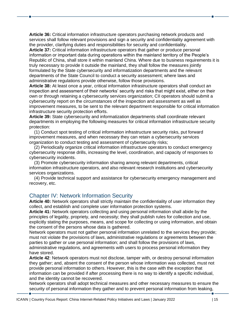**Article 36:** Critical information infrastructure operators purchasing network products and services shall follow relevant provisions and sign a security and confidentiality agreement with the provider, clarifying duties and responsibilities for security and confidentiality.

**Article 37:** Critical information infrastructure operators that gather or produce personal information or important data during operations within the mainland territory of the People's Republic of China, shall store it within mainland China. Where due to business requirements it is truly necessary to provide it outside the mainland, they shall follow the measures jointly formulated by the State cybersecurity and informatization departments and the relevant departments of the State Council to conduct a security assessment; where laws and administrative regulations provide otherwise, follow those provisions.

**Article 38:** At least once a year, critical information infrastructure operators shall conduct an inspection and assessment of their networks' security and risks that might exist, either on their own or through retaining a cybersecurity services organization; CII operators should submit a cybersecurity report on the circumstances of the inspection and assessment as well as improvement measures, to be sent to the relevant department responsible for critical information infrastructure security protection efforts.

**Article 39:** State cybersecurity and informatization departments shall coordinate relevant departments in employing the following measures for critical information infrastructure security protection:

 (1) Conduct spot testing of critical information infrastructure security risks, put forward improvement measures, and when necessary they can retain a cybersecurity services organization to conduct testing and assessment of cybersecurity risks;

 (2) Periodically organize critical information infrastructure operators to conduct emergency cybersecurity response drills, increasing the level, coordination, and capacity of responses to cybersecurity incidents.

 (3) Promote cybersecurity information sharing among relevant departments, critical information infrastructure operators, and also relevant research institutions and cybersecurity services organizations.

 (4) Provide technical support and assistance for cybersecurity emergency management and recovery, etc.

#### Chapter IV: Network Information Security

**Article 40:** Network operators shall strictly maintain the confidentiality of user information they collect, and establish and complete user information protection systems.

**Article 41:** Network operators collecting and using personal information shall abide by the principles of legality, propriety, and necessity; they shall publish rules for collection and use, explicitly stating the purposes, means, and scope for collecting or using information, and obtain the consent of the persons whose data is gathered.

Network operators must not gather personal information unrelated to the services they provide; must not violate the provisions of laws, administrative regulations or agreements between the parties to gather or use personal information; and shall follow the provisions of laws,

administrative regulations, and agreements with users to process personal information they have stored.

**Article 42**: Network operators must not disclose, tamper with, or destroy personal information they gather; and, absent the consent of the person whose information was collected, must not provide personal information to others. However, this is the case with the exception that information can be provided if after processing there is no way to identify a specific individual, and the identity cannot be recovered.

Network operators shall adopt technical measures and other necessary measures to ensure the security of personal information they gather and to prevent personal information from leaking,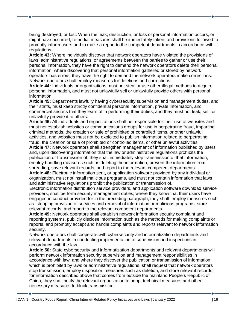being destroyed, or lost. When the leak, destruction, or loss of personal information occurs, or might have occurred, remedial measures shall be immediately taken, and provisions followed to promptly inform users and to make a report to the competent departments in accordance with regulations.

**Article 43:** Where individuals discover that network operators have violated the provisions of laws, administrative regulations, or agreements between the parties to gather or use their personal information, they have the right to demand the network operators delete their personal information; where discovering that personal information gathered or stored by network operators has errors, they have the right to demand the network operators make corrections. Network operators shall employ measures for deletions and corrections.

**Article 44:** Individuals or organizations must not steal or use other illegal methods to acquire personal information, and must not unlawfully sell or unlawfully provide others with personal information.

**Article 45:** Departments lawfully having cybersecurity supervision and management duties, and their staffs, must keep strictly confidential personal information, private information, and commercial secrets that they learn of in performing their duties, and they must not leak, sell, or unlawfully provide it to others.

**Article 46:** All individuals and organizations shall be responsible for their use of websites and must not establish websites or communications groups for use in perpetrating fraud, imparting criminal methods, the creation or sale of prohibited or controlled items, or other unlawful activities, and websites must not be exploited to publish information related to perpetrating fraud, the creation or sale of prohibited or controlled items, or other unlawful activities.

**Article 47:** Network operators shall strengthen management of information published by users and, upon discovering information that the law or administrative regulations prohibits the publication or transmission of, they shall immediately stop transmission of that information, employ handling measures such as deleting the information, prevent the information from spreading, save relevant records, and report to the relevant competent departments.

**Article 48:** Electronic information sent, or application software provided by any individual or organization, must not install malicious programs, and must not contain information that laws and administrative regulations prohibit the publication or transmission of.

Electronic information distribution service providers, and application software download service providers, shall perform security management duties; where they know that their users have engaged in conduct provided for in the preceding paragraph, they shall: employ measures such as stopping provision of services and removal of information or malicious programs; store relevant records; and report to the relevant competent departments.

**Article 49:** Network operators shall establish network information security complaint and reporting systems, publicly disclose information such as the methods for making complaints or reports, and promptly accept and handle complaints and reports relevant to network information security.

Network operators shall cooperate with cybersecurity and informatization departments and relevant departments in conducting implementation of supervision and inspections in accordance with the law.

**Article 50:** State cybersecurity and informatization departments and relevant departments will perform network information security supervision and management responsibilities in accordance with law; and where they discover the publication or transmission of information which is prohibited by laws or administrative regulations, shall request that network operators stop transmission, employ disposition measures such as deletion, and store relevant records; for information described above that comes from outside the mainland People's Republic of China, they shall notify the relevant organization to adopt technical measures and other necessary measures to block transmission.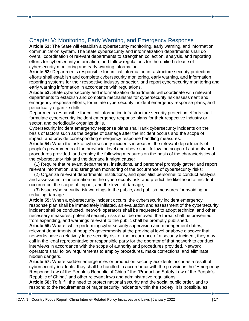### Chapter V: Monitoring, Early Warning, and Emergency Response

**Article 51:** The State will establish a cybersecurity monitoring, early warning, and information communication system. The State cybersecurity and informatization departments shall do overall coordination of relevant departments to strengthen collection, analysis, and reporting efforts for cybersecurity information, and follow regulations for the unified release of cybersecurity monitoring and early warning information.

**Article 52:** Departments responsible for critical information infrastructure security protection efforts shall establish and complete cybersecurity monitoring, early warning, and information reporting systems for their respective industry or sector, and report cybersecurity monitoring and early warning information in accordance with regulations.

**Article 53:** State cybersecurity and informatization departments will coordinate with relevant departments to establish and complete mechanisms for cybersecurity risk assessment and emergency response efforts, formulate cybersecurity incident emergency response plans, and periodically organize drills.

Departments responsible for critical information infrastructure security protection efforts shall formulate cybersecurity incident emergency response plans for their respective industry or sector, and periodically organize drills.

Cybersecurity incident emergency response plans shall rank cybersecurity incidents on the basis of factors such as the degree of damage after the incident occurs and the scope of impact, and provide corresponding emergency response handling measures.

**Article 54:** When the risk of cybersecurity incidents increases, the relevant departments of people's governments at the provincial level and above shall follow the scope of authority and procedures provided, and employ the following measures on the basis of the characteristics of the cybersecurity risk and the damage it might cause:

 (1) Require that relevant departments, institutions, and personnel promptly gather and report relevant information, and strengthen monitoring of the occurrence of cybersecurity risks;

 (2) Organize relevant departments, institutions, and specialist personnel to conduct analysis and assessment of information on the cybersecurity risk, and predict the likelihood of incident occurrence, the scope of impact, and the level of damage;

 (3) Issue cybersecurity risk warnings to the public, and publish measures for avoiding or reducing damage.

**Article 55:** When a cybersecurity incident occurs, the cybersecurity incident emergency response plan shall be immediately initiated, an evaluation and assessment of the cybersecurity incident shall be conducted, network operators shall be requested to adopt technical and other necessary measures, potential security risks shall be removed, the threat shall be prevented from expanding, and warnings relevant to the public shall be promptly published.

**Article 56:** Where, while performing cybersecurity supervision and management duties, relevant departments of people's governments at the provincial level or above discover that networks have a relatively large security risk or the occurrence of a security incident, they may call in the legal representative or responsible party for the operator of that network to conduct interviews in accordance with the scope of authority and procedures provided. Network operators shall follow requirements to employ procedures, make corrections, and eliminate hidden dangers.

**Article 57:** Where sudden emergencies or production security accidents occur as a result of cybersecurity incidents, they shall be handled in accordance with the provisions the "Emergency Response Law of the People's Republic of China," the "Production Safety Law of the People's Republic of China," and other relevant laws and administrative regulations.

**Article 58:** To fulfill the need to protect national security and the social public order, and to respond to the requirements of major security incidents within the society, it is possible, as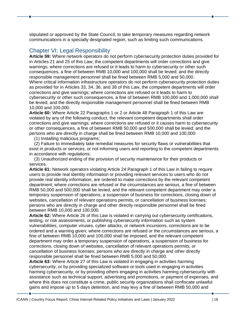stipulated or approved by the State Council, to take temporary measures regarding network communications in a specially designated region, such as limiting such communications.

### Chapter VI: Legal Responsibility

**Article 59:** Where network operators do not perform cybersecurity protection duties provided for in Articles 21 and 25 of this Law, the competent departments will order corrections and give warnings; where corrections are refused or it leads to harm to cybersecurity or other such consequences, a fine of between RMB 10,000 and 100,000 shall be levied; and the directly responsible management personnel shall be fined between RMB 5,000 and 50,000. Where critical information infrastructure operators do not perform cybersecurity protection duties as provided for in Articles 33, 34, 36, and 38 of this Law, the competent departments will order corrections and give warnings; where corrections are refused or it leads to harm to cybersecurity or other such consequences, a fine of between RMB 100,000 and 1,000,000 shall be levied; and the directly responsible management personnel shall be fined between RMB 10,000 and 100,000.

**Article 60:** Where Article 22 Paragraphs 1 or 2 or Article 48 Paragraph 1 of this Law are violated by any of the following conduct, the relevant competent departments shall order corrections and give warnings; where corrections are refused or it causes harm to cybersecurity or other consequences, a fine of between RMB 50,000 and 500,000 shall be levied; and the persons who are directly in charge shall be fined between RMB 10,000 and 100,000:

(1) Installing malicious programs;

 (2) Failure to immediately take remedial measures for security flaws or vulnerabilities that exist in products or services, or not informing users and reporting to the competent departments in accordance with regulations;

 (3) Unauthorized ending of the provision of security maintenance for their products or services.

**Article 61:** Network operators violating Article 24 Paragraph 1 of this Law in failing to require users to provide real identity information or providing relevant services to users who do not provide real identity information, are ordered to make corrections by the relevant competent department; where corrections are refused or the circumstances are serious, a fine of between RMB 50,000 and 500,000 shall be levied, and the relevant competent department may order a temporary suspension of operations, a suspension of business for corrections, closing down of websites, cancellation of relevant operations permits, or cancellation of business licenses; persons who are directly in charge and other directly responsible personnel shall be fined between RMB 10,000 and 100,000.

**Article 62:** Where Article 26 of this Law is violated in carrying out cybersecurity certifications, testing, or risk assessments, or publishing cybersecurity information such as system vulnerabilities, computer viruses, cyber attacks, or network incursions, corrections are to be ordered and a warning given; where corrections are refused or the circumstances are serious, a fine of between RMB 10,000 and 100,000 shall be imposed, and the relevant competent department may order a temporary suspension of operations, a suspension of business for corrections, closing down of websites, cancellation of relevant operations permits, or cancellation of business licenses; persons who are directly in charge and other directly responsible personnel shall be fined between RMB 5,000 and 50,000.

**Article 63:** Where Article 27 of this Law is violated in engaging in activities harming cybersecurity, or by providing specialized software or tools used in engaging in activities harming cybersecurity, or by providing others engaging in activities harming cybersecurity with assistance such as technical support, advertising and promotions, or payment of expenses, and where this does not constitute a crime, public security organizations shall confiscate unlawful gains and impose up to 5 days detention, and may levy a fine of between RMB 50,000 and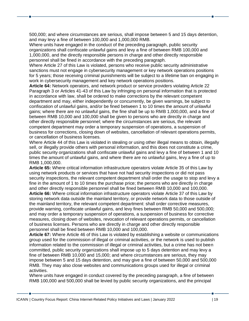500,000; and where circumstances are serious, shall impose between 5 and 15 days detention, and may levy a fine of between 100,000 and 1,000,000 RMB.

Where units have engaged in the conduct of the preceding paragraph, public security organizations shall confiscate unlawful gains and levy a fine of between RMB 100,000 and 1,000,000, and the directly responsible persons in charge and other directly responsible personnel shall be fined in accordance with the preceding paragraph.

Where Article 27 of this Law is violated, persons who receive public security administrative sanctions must not engage in cybersecurity management or key network operations positions for 5 years; those receiving criminal punishments will be subject to a lifetime ban on engaging in work in cybersecurity management and key network operations positions.

**Article 64:** Network operators, and network product or service providers violating Article 22 Paragraph 3 or Articles 41-43 of this Law by infringing on personal information that is protected in accordance with law, shall be ordered to make corrections by the relevant competent department and may, either independently or concurrently, be given warnings, be subject to confiscation of unlawful gains, and/or be fined between 1 to 10 times the amount of unlawful gains; where there are no unlawful gains, the fine shall be up to RMB 1,000,000, and a fine of between RMB 10,000 and 100,000 shall be given to persons who are directly in charge and other directly responsible personnel; where the circumstances are serious, the relevant competent department may order a temporary suspension of operations, a suspension of business for corrections, closing down of websites, cancellation of relevant operations permits, or cancellation of business licenses.

Where Article 44 of this Law is violated in stealing or using other illegal means to obtain, illegally sell, or illegally provide others with personal information, and this does not constitute a crime, public security organizations shall confiscate unlawful gains and levy a fine of between 1 and 10 times the amount of unlawful gains, and where there are no unlawful gains, levy a fine of up to RMB 1,000,000.

**Article 65:** Where critical information infrastructure operators violate Article 35 of this Law by using network products or services that have not had security inspections or did not pass security inspections, the relevant competent department shall order the usage to stop and levy a fine in the amount of 1 to 10 times the purchase price; the persons who are directly in charge and other directly responsible personnel shall be fined between RMB 10,000 and 100,000. **Article 66:** Where critical information infrastructure operators violate Article 37 of this Law by storing network data outside the mainland territory, or provide network data to those outside of the mainland territory, the relevant competent department: shall order corrective measures, provide warning, confiscate unlawful gains, and levy fines between RMB 50,000 and 500,000; and may order a temporary suspension of operations, a suspension of business for corrective measures, closing down of websites, revocation of relevant operations permits, or cancellation of business licenses. Persons who are directly in charge and other directly responsible personnel shall be fined between RMB 10,000 and 100,000.

**Article 67:** Where Article 46 of this Law is violated by establishing a website or communications group used for the commission of illegal or criminal activities, or the network is used to publish information related to the commission of illegal or criminal activities, but a crime has not been committed, public security organizations shall impose up to 5 days detention and may levy a fine of between RMB 10,000 and 15,000; and where circumstances are serious, they may impose between 5 and 15 days detention, and may give a fine of between 50,000 and 500,000 RMB. They may also close websites and communications groups used for illegal or criminal activities.

Where units have engaged in conduct covered by the preceding paragraph, a fine of between RMB 100,000 and 500,000 shall be levied by public security organizations, and the principal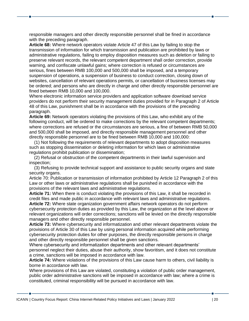responsible managers and other directly responsible personnel shall be fined in accordance with the preceding paragraph.

**Article 68:** Where network operators violate Article 47 of this Law by failing to stop the transmission of information for which transmission and publication are prohibited by laws or administrative regulations, failing to employ disposition measures such as deletion or failing to preserve relevant records, the relevant competent department shall order correction, provide warning, and confiscate unlawful gains; where correction is refused or circumstances are serious, fines between RMB 100,000 and 500,000 shall be imposed, and a temporary suspension of operations, a suspension of business to conduct correction, closing down of websites, cancellation of relevant operations permits, or cancellation of business licenses may be ordered; and persons who are directly in charge and other directly responsible personnel are fined between RMB 10,000 and 100,000.

Where electronic information service providers and application software download service providers do not perform their security management duties provided for in Paragraph 2 of Article 48 of this Law, punishment shall be in accordance with the provisions of the preceding paragraph.

**Article 69:** Network operators violating the provisions of this Law, who exhibit any of the following conduct, will be ordered to make corrections by the relevant competent departments; where corrections are refused or the circumstances are serious, a fine of between RMB 50,000 and 500,000 shall be imposed, and directly responsible management personnel and other directly responsible personnel are to be fined between RMB 10,000 and 100,000:

 (1) Not following the requirements of relevant departments to adopt disposition measures such as stopping dissemination or deleting information for which laws or administrative regulations prohibit publication or dissemination;

 (2) Refusal or obstruction of the competent departments in their lawful supervision and inspection;

 (3) Refusing to provide technical support and assistance to public security organs and state security organs.

Article 70: Publication or transmission of information prohibited by Article 12 Paragraph 2 of this Law or other laws or administrative regulations shall be punished in accordance with the provisions of the relevant laws and administrative regulations.

**Article 71:** When there is conduct violating the provisions of this Law, it shall be recorded in credit files and made public in accordance with relevant laws and administrative regulations. **Article 72:** Where state organization government affairs network operators do not perform cybersecurity protection duties as provided by this Law, the organization at the level above or relevant organizations will order corrections; sanctions will be levied on the directly responsible managers and other directly responsible personnel.

**Article 73:** Where cybersecurity and informatization and other relevant departments violate the provisions of Article 30 of this Law by using personal information acquired while performing cybersecurity protection duties for other purposes, the directly responsible persons in charge and other directly responsible personnel shall be given sanctions.

Where cybersecurity and informatization departments and other relevant departments' personnel neglect their duties, abuse their authority, show favoritism, and it does not constitute a crime, sanctions will be imposed in accordance with law.

**Article 74:** Where violations of the provisions of this Law cause harm to others, civil liability is borne in accordance with law.

Where provisions of this Law are violated, constituting a violation of public order management, public order administrative sanctions will be imposed in accordance with law; where a crime is constituted, criminal responsibility will be pursued in accordance with law.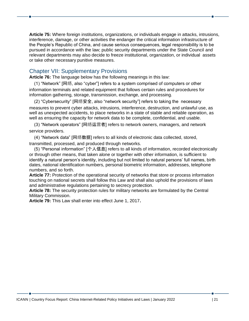**Article 75:** Where foreign institutions, organizations, or individuals engage in attacks, intrusions, interference, damage, or other activities the endanger the critical information infrastructure of the People's Republic of China, and cause serious consequences, legal responsibility is to be pursued in accordance with the law; public security departments under the State Council and relevant departments may also decide to freeze institutional, organization, or individual assets or take other necessary punitive measures.

#### Chapter VII: Supplementary Provisions

**Article 76:** The language below has the following meanings in this law:

 (1) "Network" [网络, also "cyber"] refers to a system comprised of computers or other information terminals and related equipment that follows certain rules and procedures for information gathering, storage, transmission, exchange, and processing.

 (2) "Cybersecurity" [网络安全, also "network security"] refers to taking the necessary measures to prevent cyber attacks, intrusions, interference, destruction, and unlawful use, as well as unexpected accidents, to place networks in a state of stable and reliable operation, as well as ensuring the capacity for network data to be complete, confidential, and usable.

 (3) "Network operators" [网络运营者] refers to network owners, managers, and network service providers.

(4) "Network data" [网络数据] refers to all kinds of electronic data collected, stored,

transmitted, processed, and produced through networks.

 (5) "Personal information" [个人信息] refers to all kinds of information, recorded electronically or through other means, that taken alone or together with other information, is sufficient to identify a natural person's identity, including but not limited to natural persons' full names, birth dates, national identification numbers, personal biometric information, addresses, telephone numbers, and so forth.

**Article 77:** Protection of the operational security of networks that store or process information touching on national secrets shall follow this Law and shall also uphold the provisions of laws and administrative regulations pertaining to secrecy protection.

**Article 78:** The security protection rules for military networks are formulated by the Central Military Commission.

**Article 79:** This Law shall enter into effect June 1, 2017**.**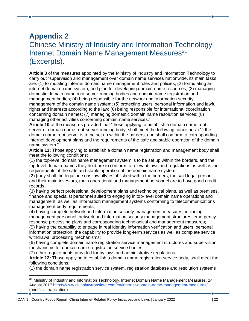### <span id="page-21-1"></span><span id="page-21-0"></span>**Appendix 2**  Chinese Ministry of Industry and Information Technology Internet Domain Name Management Measures<sup>31</sup> (Excerpts).

**Article 3** of the measures appointed by the Ministry of Industry and Information Technology to carry out "supervision and management over domain name services nationwide, its main tasks are: (1) formulating Internet domain name management rules and policies; (2) formulating an internet domain name system, and plan for developing domain name resources; (3) managing domestic domain name root server-running bodies and domain name registration and management bodies; (4) being responsible for the network and information security management of the domain name system; (5) protecting users' personal information and lawful rights and interests according to the law; (6) being responsible for international coordination concerning domain names; (7) managing domestic domain name resolution services; (8) managing other activities concerning domain name services."

**Article 10** of the measures provided that "those applying to establish a domain name root server or domain name root-server-running body, shall meet the following conditions: (1) the domain name root server is to be set up within the borders, and shall conform to corresponding Internet development plans and the requirements of the safe and stable operation of the domain name system."

**Article 11:** Those applying to establish a domain name registration and management body shall meet the following conditions:

(1) the top-level domain name management system is to be set up within the borders, and the top-level domain names they hold are to conform to relevant laws and regulations as well as the requirements of the safe and stable operation of the domain name system;

(2) [they shall] be legal persons lawfully established within the borders, the said legal person and their main investors, main operational and management personnel are to have good credit records;

(3) having perfect professional development plans and technological plans, as well as premises, finance and specialist personnel suited to engaging in top-level domain name operations and management, as well as information management systems conforming to telecommunications management body requirements;

(4) having complete network and information security management measures, including management personnel, network and information security management structures, emergency response processing plans and corresponding technological and management measures;

(5) having the capability to engage in real identity information verification and users' personal information protection, the capability to provide long-term services as well as complete service withdrawal processing mechanisms;

(6) having complete domain name registration service management structures and supervision mechanisms for domain name registration service bodies;

(7) other requirements provided for by laws and administrative regulations.

**Article 12:** Those applying to establish a domain name registration service body, shall meet the following conditions:

(1) the domain name registration service system, registration database and resolution systems

<sup>&</sup>lt;sup>31</sup> Ministry of Industry and Information Technology, Internet Domain Name Management Measures, 24 August 2017<https://www.chinalawtranslate.com/en/internet-domain-name-management-measures/> (unofficial translation)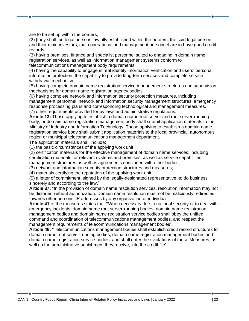are to be set up within the borders;

(2) [they shall] be legal persons lawfully established within the borders, the said legal person and their main investors, main operational and management personnel are to have good credit records;

(3) having premises, finance and specialist personnel suited to engaging in domain name registration services, as well as information management systems conform to telecommunications management body requirements;

(4) having the capability to engage in real identity information verification and users' personal information protection, the capability to provide long-term services and complete service withdrawal mechanism;

(5) having complete domain name registration service management structures and supervision mechanisms for domain name registration agency bodies;

(6) having complete network and information security protection measures, including management personnel, network and information security management structures, emergency response processing plans and corresponding technological and management measures. (7) other requirements provided for by laws and administrative regulations.

**Article 13:** Those applying to establish a domain name root server and root server-running body, or domain name registration management body shall submit application materials to the Ministry of Industry and Information Technology. Those applying to establish a domain name registration service body shall submit application materials to the local provincial, autonomous region or municipal telecommunications management department.

The application materials shall include:

(1) the basic circumstances of the applying work unit

(2) certification materials for the effective management of domain name services, including certification materials for relevant systems and premises, as well as service capabilities, management structures as well as agreements concluded with other bodies;

(3) network and information security protection structures and measures;

(4) materials certifying the reputation of the applying work unit;

(5) a letter of commitment, signed by the legally-designated representative, to do business sincerely and according to the law."

**Article 37:** "In the provision of domain name resolution services, resolution information may not be distorted without authorization. Domain name resolution must not be maliciously redirected towards other persons' IP addresses by any organization or individual".

**Article 41** of the measures states that **"**When necessary due to national security or to deal with emergency incidents, domain name root server-running bodies, domain name registration management bodies and domain name registration service bodies shall obey the unified command and coordination of telecommunications management bodies, and respect the management requirements of telecommunications management bodies".

**Article 46:** "Telecommunications management bodies shall establish credit record structures for domain name root server-running bodies, domain name registration management bodies and domain name registration service bodies, and shall enter their violations of these Measures, as well as the administrative punishment they receive, into the credit file".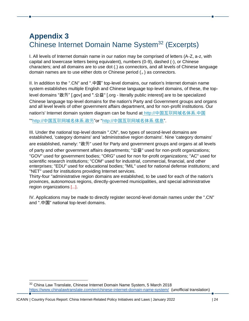# <span id="page-23-1"></span><span id="page-23-0"></span>**Appendix 3**  Chinese Internet Domain Name System<sup>32</sup> (Excerpts)

I. All levels of Internet domain name in our nation may be comprised of letters (A-Z, a-z, with capital and lowercase letters being equivalent), numbers (0-9), dashed (-), or Chinese characters; and all domains are to use dot (.) as connectors, and all levels of Chinese language domain names are to use either dots or Chinese period (。) as connectors.

II. In addition to the ".CN" and ".中国" top-level domains, our nation's Internet domain name system establishes multiple English and Chinese language top-level domains, of these, the toplevel domains "政务" [.gov] and ".公益" [.org - literally public interest] are to be specialized Chinese language top-level domains for the nation's Party and Government groups and organs and all level levels of other government affairs department, and for non-profit institutions. Our

nation's' Internet domain system diagram can be found at [http://](http://中国互联网域名体系.中国/)[中国互](http://中国互联网域名体系.中国/)[联](http://中国互联网域名体系.中国/)[网域名体系](http://中国互联网域名体系.中国/)[.](http://中国互联网域名体系.中国/)[中国](http://中国互联网域名体系.中国/)

"["http://](http://中国互联网域名体系.政务/)[中国互](http://中国互联网域名体系.政务/)[联](http://中国互联网域名体系.政务/)[网域名体系](http://中国互联网域名体系.政务/)[.](http://中国互联网域名体系.政务/)[政](http://中国互联网域名体系.政务/)[务](http://中国互联网域名体系.政务/)"or ["http://](http://中国互联网域名体系.信息/)[中国互](http://中国互联网域名体系.信息/)[联](http://中国互联网域名体系.信息/)[网域名体系](http://中国互联网域名体系.信息/)[.](http://中国互联网域名体系.信息/)[信息](http://中国互联网域名体系.信息/)".

III. Under the national top-level domain ".CN", two types of second-level domains are established, 'category domains' and 'administrative region domains'. Nine 'category domains' are established, namely: "政务" used for Party and government groups and organs at all levels

of party and other government affairs departments; "公益" used for non-profit organizations; "GOV" used for government bodies; "ORG" used for non for-profit organizations; "AC" used for scientific research institutions; "COM" used for industrial, commercial, financial, and other enterprises; "EDU" used for educational bodies; "MIL" used for national defense institutions; and "NET" used for institutions providing Internet services.

Thirty-four "administrative region domains are established, to be used for each of the nation's provinces, autonomous regions, directly-governed municipalities, and special administrative region organizations […].

IV. Applications may be made to directly register second-level domain names under the ".CN" and ".中国" national top-level domains.

<sup>&</sup>lt;sup>32</sup> China Law Translate, Chinese Internet Domain Name System, 5 March 2018 <https://www.chinalawtranslate.com/en/chinese-internet-domain-name-system/> (unofficial translation)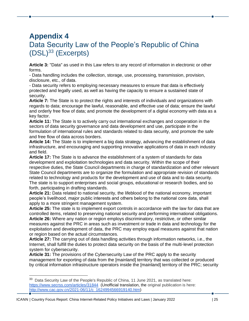# <span id="page-24-1"></span><span id="page-24-0"></span>**Appendix 4** Data Security Law of the People's Republic of China (DSL)<sup>33</sup> (Excerpts)

**Article 3:** "Data" as used in this Law refers to any record of information in electronic or other forms.

- Data handling includes the collection, storage, use, processing, transmission, provision, disclosure, etc., of data.

- Data security refers to employing necessary measures to ensure that data is effectively protected and legally used, as well as having the capacity to ensure a sustained state of security.

**Article 7:** The State is to protect the rights and interests of individuals and organizations with regards to data; encourage the lawful, reasonable, and effective use of data; ensure the lawful and orderly free flow of data; and promote the development of a digital economy with data as a key factor.

**Article 11:** The State is to actively carry out international exchanges and cooperation in the sectors of data security governance and data development and use, participate in the formulation of international rules and standards related to data security, and promote the safe and free flow of data across borders.

**Article 14:** The State is to implement a big data strategy, advancing the establishment of data infrastructure, and encouraging and supporting innovative applications of data in each industry and field.

**Article 17:** The State is to advance the establishment of a system of standards for data development and exploitation technologies and data security. Within the scope of their respective duties, the State Council departments in charge of standardization and other relevant State Council departments are to organize the formulation and appropriate revision of standards related to technology and products for the development and use of data and to data security. The state is to support enterprises and social groups, educational or research bodies, and so forth, participating in drafting standards.

**Article 21:** Data related to national security, the lifeblood of the national economy, important people's livelihood, major public interests and others belong to the national core data, shall apply to a more stringent management system.

**Article 25:** The state is to implement export controls in accordance with the law for data that are controlled items, related to preserving national security and performing international obligations. **Article 26:** Where any nation or region employs discriminatory, restrictive, or other similar measures against the PRC in areas such as investment or trade in data and technology for the exploitation and development of data, the PRC may employ equal measures against that nation or region based on the actual circumstances.

**Article 27:** The carrying out of data handling activities through information networks, i.e., the Internet, shall fulfill the duties to protect data security on the basis of the multi-level protection system for cybersecurity.

**Article 31:** The provisions of the Cybersecurity Law of the PRC apply to the security management for exporting of data from the [mainland] territory that was collected or produced by critical information infrastructure operators inside the [mainland] territory of the PRC; security

<sup>&</sup>lt;sup>33</sup> Data Security Law of the People's Republic of China, 11 June 2021, as translated here: <https://www.secrss.com/articles/31844> (Unofficial translation, the original publication is here: [http://www.cac.gov.cn/2021-06/11/c\\_1624994566919140.htm\)](http://www.cac.gov.cn/2021-06/11/c_1624994566919140.htm)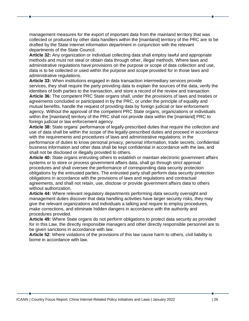management measures for the export of important data from the mainland territory that was collected or produced by other data handlers within the [mainland] territory of the PRC are to be drafted by the State internet information department in conjunction with the relevant departments of the State Council.

**Article 32:** Any organization or individual collecting data shall employ lawful and appropriate methods and must not steal or obtain data through other, illegal methods. Where laws and administrative regulations have provisions on the purpose or scope of data collection and use, data is to be collected or used within the purpose and scope provided for in those laws and administrative regulations.

**Article 33:** When institutions engaged in data transaction intermediary services provide services, they shall require the party providing data to explain the sources of the data, verify the identities of both parties to the transaction, and store a record of the review and transaction.

**Article 36:** The competent PRC State organs shall, under the provisions of laws and treaties or agreements concluded or participated in by the PRC, or under the principle of equality and mutual benefits, handle the request of providing data by foreign judicial or law enforcement agency. Without the approval of the competent PRC State organs, organizations or individuals within the [mainland] territory of the PRC shall not provide data within the [mainland] PRC to foreign judicial or law enforcement agency.

**Article 38:** State organs' performance of legally-prescribed duties that require the collection and use of data shall be within the scope of the legally-prescribed duties and proceed in accordance with the requirements and procedures of laws and administrative regulations; in the performance of duties to know personal privacy, personal information, trade secrets, confidential business information and other data shall be kept confidential in accordance with the law, and shall not be disclosed or illegally provided to others.

**Article 40:** State organs entrusting others to establish or maintain electronic government affairs systems or to store or process government affairs data, shall go through strict approval procedures and shall oversee the performance of corresponding data security protection obligations by the entrusted parties. The entrusted party shall perform data security protection obligations in accordance with the provisions of laws and regulations and contractual agreements, and shall not retain, use, disclose or provide government affairs data to others without authorization.

**Article 44:** Where relevant regulatory departments performing data security oversight and management duties discover that data handling activities have larger security risks, they may give the relevant organizations and individuals a talking and require to employ procedures, make corrections, and eliminate hidden dangers in accordance with the authority and procedures provided.

**Article 49:** Where State organs do not perform obligations to protect data security as provided for in this Law, the directly responsible managers and other directly responsible personnel are to be given sanctions in accordance with law.

**Article 52**: Where violations of the provisions of this law cause harm to others, civil liability is borne in accordance with law.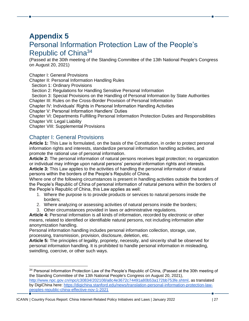### <span id="page-26-1"></span><span id="page-26-0"></span>**Appendix 5** Personal Information Protection Law of the People's Republic of China<sup>34</sup>

(Passed at the 30th meeting of the Standing Committee of the 13th National People's Congress on August 20, 2021)

Chapter I: General Provisions

Chapter II: Personal Information Handling Rules

Section 1: Ordinary Provisions

Section 2: Regulations for Handling Sensitive Personal Information

Section 3: Special Provisions on the Handling of Personal Information by State Authorities

Chapter III: Rules on the Cross-Border Provision of Personal Information

Chapter IV: Individuals' Rights in Personal Information Handling Activities

Chapter V: Personal Information Handlers' Duties

Chapter VI: Departments Fulfilling Personal Information Protection Duties and Responsibilities Chapter VII: Legal Liability

Chapter VIII: Supplemental Provisions

### Chapter I: General Provisions

**Article 1:** This Law is formulated, on the basis of the Constitution, in order to protect personal information rights and interests, standardize personal information handling activities, and promote the rational use of personal information.

**Article 2:** The personal information of natural persons receives legal protection; no organization or individual may infringe upon natural persons' personal information rights and interests.

**Article 3:** This Law applies to the activities of handling the personal information of natural persons within the borders of the People's Republic of China.

Where one of the following circumstances is present in handling activities outside the borders of the People's Republic of China of personal information of natural persons within the borders of the People's Republic of China, this Law applies as well:

- 1. Where the purpose is to provide products or services to natural persons inside the borders;
- 2. Where analyzing or assessing activities of natural persons inside the borders;
- 3. Other circumstances provided in laws or administrative regulations.

**Article 4:** Personal information is all kinds of information, recorded by electronic or other means, related to identified or identifiable natural persons, not including information after anonymization handling.

Personal information handling includes personal information collection, storage, use, processing, transmission, provision, disclosure, deletion, etc.

**Article 5:** The principles of legality, propriety, necessity, and sincerity shall be observed for personal information handling. It is prohibited to handle personal information in misleading, swindling, coercive, or other such ways.

<sup>&</sup>lt;sup>34</sup> Personal Information Protection Law of the People's Republic of China, (Passed at the 30th meeting of the Standing Committee of the 13th National People's Congress on August 20, 2021), [http://www.npc.gov.cn/npc/c30834/202108/a8c4e3672c74491a80b53a172bb753fe.shtml,](http://www.npc.gov.cn/npc/c30834/202108/a8c4e3672c74491a80b53a172bb753fe.shtml) as translated by DigiChina here: [https://digichina.stanford.edu/news/translation-personal-information-protection-law](https://digichina.stanford.edu/news/translation-personal-information-protection-law-peoples-republic-china-effective-nov-1-2021)[peoples-republic-china-effective-nov-1-2021](https://digichina.stanford.edu/news/translation-personal-information-protection-law-peoples-republic-china-effective-nov-1-2021)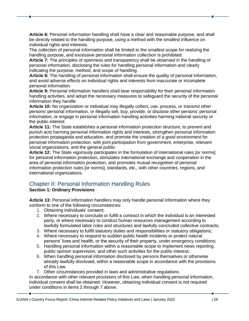**Article 6:** Personal information handling shall have a clear and reasonable purpose, and shall be directly related to the handling purpose, using a method with the smallest influence on individual rights and interests.

The collection of personal information shall be limited to the smallest scope for realizing the handling purpose, and excessive personal information collection is prohibited.

**Article 7:** The principles of openness and transparency shall be observed in the handling of personal information, disclosing the rules for handling personal information and clearly indicating the purpose, method, and scope of handling.

**Article 8:** The handling of personal information shall ensure the quality of personal information, and avoid adverse effects on individual rights and interests from inaccurate or incomplete personal information.

**Article 9:** Personal information handlers shall bear responsibility for their personal information handling activities, and adopt the necessary measures to safeguard the security of the personal information they handle.

**Article 10:** No organization or individual may illegally collect, use, process, or transmit other persons' personal information, or illegally sell, buy, provide, or disclose other persons' personal information, or engage in personal information handling activities harming national security or the public interest.

**Article 11:** The State establishes a personal information protection structure, to prevent and punish acts harming personal information rights and interests, strengthen personal information protection propaganda and education, and promote the creation of a good environment for personal information protection, with joint participation from government, enterprise, relevant social organizations, and the general public.

**Article 12:** The State vigorously participates in the formulation of international rules [or norms] for personal information protection, stimulates international exchange and cooperation in the area of personal information protection, and promotes mutual recognition of personal information protection rules [or norms], standards, etc., with other countries, regions, and international organizations.

### Chapter II: Personal Information Handling Rules

#### **Section 1: Ordinary Provisions**

**Article 13:** Personal information handlers may only handle personal information where they conform to one of the following circumstances:

- 1. Obtaining individuals' consent;
- 2. Where necessary to conclude or fulfill a contract in which the individual is an interested party, or where necessary to conduct human resources management according to lawfully formulated labor rules and structures and lawfully concluded collective contracts;
- 3. Where necessary to fulfill statutory duties and responsibilities or statutory obligations;
- 4. Where necessary to respond to sudden public health incidents or protect natural persons' lives and health, or the security of their property, under emergency conditions;
- 5. Handling personal information within a reasonable scope to implement news reporting, public opinion supervision, and other such activities for the public interest;
- 6. When handling personal information disclosed by persons themselves or otherwise already lawfully disclosed, within a reasonable scope in accordance with the provisions of this Law.
- 7. Other circumstances provided in laws and administrative regulations.

In accordance with other relevant provisions of this Law, when handling personal information, individual consent shall be obtained. However, obtaining individual consent is not required under conditions in items 2 through 7 above.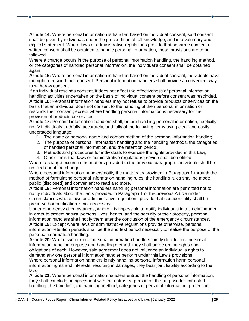**Article 14:** Where personal information is handled based on individual consent, said consent shall be given by individuals under the precondition of full knowledge, and in a voluntary and explicit statement. Where laws or administrative regulations provide that separate consent or written consent shall be obtained to handle personal information, those provisions are to be followed.

Where a change occurs in the purpose of personal information handling, the handling method, or the categories of handled personal information, the individual's consent shall be obtained again.

**Article 15:** Where personal information is handled based on individual consent, individuals have the right to rescind their consent. Personal information handlers shall provide a convenient way to withdraw consent.

If an individual rescinds consent, it does not affect the effectiveness of personal information handling activities undertaken on the basis of individual consent before consent was rescinded.

**Article 16:** Personal information handlers may not refuse to provide products or services on the basis that an individual does not consent to the handling of their personal information or rescinds their consent, except where handling personal information is necessary for the provision of products or services.

**Article 17:** Personal information handlers shall, before handling personal information, explicitly notify individuals truthfully, accurately, and fully of the following items using clear and easily understood language:

- 1. The name or personal name and contact method of the personal information handler;
- 2. The purpose of personal information handling and the handling methods, the categories of handled personal information, and the retention period;
- 3. Methods and procedures for individuals to exercise the rights provided in this Law;
- 4. Other items that laws or administrative regulations provide shall be notified.

Where a change occurs in the matters provided in the previous paragraph, individuals shall be notified about the change.

Where personal information handlers notify the matters as provided in Paragraph 1 through the method of formulating personal information handling rules, the handling rules shall be made public [disclosed] and convenient to read and store.

**Article 18:** Personal information handlers handling personal information are permitted not to notify individuals about the items provided in Paragraph 1 of the previous Article under circumstances where laws or administrative regulations provide that confidentiality shall be preserved or notification is not necessary.

Under emergency circumstances, where it is impossible to notify individuals in a timely manner in order to protect natural persons' lives, health, and the security of their property, personal information handlers shall notify them after the conclusion of the emergency circumstances.

**Article 19:** Except where laws or administrative regulations provide otherwise, personal information retention periods shall be the shortest period necessary to realize the purpose of the personal information handling.

**Article 20:** Where two or more personal information handlers jointly decide on a personal information handling purpose and handling method, they shall agree on the rights and obligations of each. However, said agreement does not influence an individual's rights to demand any one personal information handler perform under this Law's provisions. Where personal information handlers jointly handling personal information harm personal information rights and interests, resulting in damages, they bear joint liability according to the law.

**Article 21:** Where personal information handlers entrust the handling of personal information, they shall conclude an agreement with the entrusted person on the purpose for entrusted handling, the time limit, the handling method, categories of personal information, protection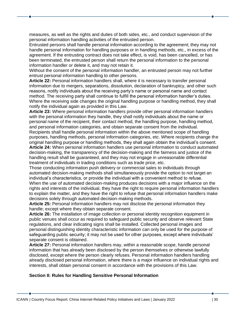measures, as well as the rights and duties of both sides, etc., and conduct supervision of the personal information handling activities of the entrusted person.

Entrusted persons shall handle personal information according to the agreement; they may not handle personal information for handling purposes or in handling methods, etc., in excess of the agreement. If the entrusting contract does not take effect, is void, has been cancelled, or has been terminated, the entrusted person shall return the personal information to the personal information handler or delete it, and may not retain it.

Without the consent of the personal information handler, an entrusted person may not further entrust personal information handling to other persons.

**Article 22:** Personal information handlers shall, where it is necessary to transfer personal information due to mergers, separations, dissolution, declaration of bankruptcy, and other such reasons, notify individuals about the receiving party's name or personal name and contact method. The receiving party shall continue to fulfill the personal information handler's duties. Where the receiving side changes the original handling purpose or handling method, they shall notify the individual again as provided in this Law.

**Article 23:** Where personal information handlers provide other personal information handlers with the personal information they handle, they shall notify individuals about the name or personal name of the recipient, their contact method, the handling purpose, handling method, and personal information categories, and obtain separate consent from the individual. Recipients shall handle personal information within the above mentioned scope of handling purposes, handling methods, personal information categories, etc. Where recipients change the original handling purpose or handling methods, they shall again obtain the individual's consent. **Article 24:** When personal information handlers use personal information to conduct automated decision-making, the transparency of the decision-making and the fairness and justice of the

handling result shall be guaranteed, and they may not engage in unreasonable differential treatment of individuals in trading conditions such as trade price, etc.

Those conducting information push delivery or commercial sales to individuals through automated decision-making methods shall simultaneously provide the option to not target an individual's characteristics, or provide the individual with a convenient method to refuse. When the use of automated decision-making produces decisions with a major influence on the rights and interests of the individual, they have the right to require personal information handlers to explain the matter, and they have the right to refuse that personal information handlers make decisions solely through automated decision-making methods.

**Article 25:** Personal information handlers may not disclose the personal information they handle; except where they obtain separate consent.

**Article 26:** The installation of image collection or personal identity recognition equipment in public venues shall occur as required to safeguard public security and observe relevant State regulations, and clear indicating signs shall be installed. Collected personal images and personal distinguishing identity characteristic information can only be used for the purpose of safeguarding public security; it may not be used for other purposes, except where individuals' separate consent is obtained.

**Article 27:** Personal information handlers may, within a reasonable scope, handle personal information that has already been disclosed by the person themselves or otherwise lawfully disclosed, except where the person clearly refuses. Personal information handlers handling already disclosed personal information, where there is a major influence on individual rights and interests, shall obtain personal consent in accordance with the provisions of this Law.

#### **Section II: Rules for Handling Sensitive Personal Information**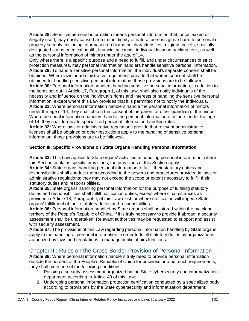**Article 28:** Sensitive personal information means personal information that, once leaked or illegally used, may easily cause harm to the dignity of natural persons grave harm to personal or property security, including information on biometric characteristics, religious beliefs, speciallydesignated status, medical health, financial accounts, individual location tracking, etc., as well as the personal information of minors under the age of 14.

Only where there is a specific purpose and a need to fulfill, and under circumstances of strict protection measures, may personal information handlers handle sensitive personal information. **Article 29:** To handle sensitive personal information, the individual's separate consent shall be obtained. Where laws or administrative regulations provide that written consent shall be obtained for handling sensitive personal information, those provisions are to be followed. **Article 30:** Personal information handlers handling sensitive personal information, in addition to the items set out in Article 17, Paragraph 1, of this Law, shall also notify individuals of the necessity and influence on the individual's rights and interests of handling the sensitive personal information, except where this Law provides that it is permitted not to notify the individuals. **Article 31:** Where personal information handlers handle the personal information of minors under the age of 14, they shall obtain the consent of the parent or other guardian of the minor. Where personal information handlers handle the personal information of minors under the age of 14, they shall formulate specialized personal information handling rules.

**Article 32:** Where laws or administrative regulations provide that relevant administrative licenses shall be obtained or other restrictions apply to the handling of sensitive personal information, those provisions are to be followed.

#### **Section III: Specific Provisions on State Organs Handling Personal Information**

**Article 33:** This Law applies to State organs' activities of handling personal information; where this Section contains specific provisions, the provisions of this Section apply.

**Article 34:** State organs handling personal information to fulfill their statutory duties and responsibilities shall conduct them according to the powers and procedures provided in laws or administrative regulations; they may not exceed the scope or extent necessary to fulfill their statutory duties and responsibilities.

**Article 35:** State organs handling personal information for the purpose of fulfilling statutory duties and responsibilities shall fulfill notification duties, except where circumstances as provided in Article 18, Paragraph I, of this Law exist, or where notification will impede State organs' fulfillment of their statutory duties and responsibilities.

**Article 36:** Personal information handled by State organs shall be stored within the mainland territory of the People's Republic of China. If it is truly necessary to provide it abroad, a security assessment shall be undertaken. Relevant authorities may be requested to support and assist with security assessment.

**Article 37:** The provisions of this Law regarding personal information handling by State organs apply to the handling of personal information in order to fulfill statutory duties by organizations authorized by laws and regulations to manage public affairs functions.

### Chapter III: Rules on the Cross-Border Provision of Personal Information

**Article 38:** Where personal information handlers truly need to provide personal information outside the borders of the People's Republic of China for business or other such requirements, they shall meet one of the following conditions:

- 1. Passing a security assessment organized by the State cybersecurity and informatization department according to Article 40 of this Law;
- 2. Undergoing personal information protection certification conducted by a specialized body according to provisions by the State cybersecurity and informatization department;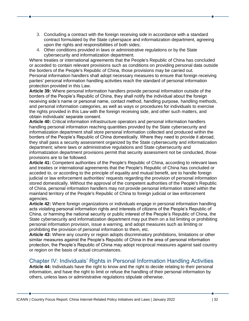- 3. Concluding a contract with the foreign receiving side in accordance with a standard contract formulated by the State cyberspace and informatization department, agreeing upon the rights and responsibilities of both sides;
- 4. Other conditions provided in laws or administrative regulations or by the State cybersecurity and informatization department.

Where treaties or international agreements that the People's Republic of China has concluded or acceded to contain relevant provisions such as conditions on providing personal data outside the borders of the People's Republic of China, those provisions may be carried out. Personal information handlers shall adopt necessary measures to ensure that foreign receiving parties' personal information handling activities reach the standard of personal information protection provided in this Law.

**Article 39:** Where personal information handlers provide personal information outside of the borders of the People's Republic of China, they shall notify the individual about the foreign receiving side's name or personal name, contact method, handling purpose, handling methods, and personal information categories, as well as ways or procedures for individuals to exercise the rights provided in this Law with the foreign receiving side, and other such matters, and obtain individuals' separate consent.

**Article 40:** Critical information infrastructure operators and personal information handlers handling personal information reaching quantities provided by the State cybersecurity and informatization department shall store personal information collected and produced within the borders of the People's Republic of China domestically. Where they need to provide it abroad, they shall pass a security assessment organized by the State cybersecurity and informatization department; where laws or administrative regulations and State cybersecurity and informatization department provisions permit that security assessment not be conducted, those provisions are to be followed.

**Article 41:** Competent authorities of the People's Republic of China, according to relevant laws and treaties or international agreements that the People's Republic of China has concluded or acceded to, or according to the principle of equality and mutual benefit, are to handle foreign judicial or law enforcement authorities' requests regarding the provision of personal information stored domestically. Without the approval of the competent authorities of the People's Republic of China, personal information handlers may not provide personal information stored within the mainland territory of the People's Republic of China to foreign judicial or law enforcement agencies.

**Article 42:** Where foreign organizations or individuals engage in personal information handling acts violating personal information rights and interests of citizens of the People's Republic of China, or harming the national security or public interest of the People's Republic of China, the State cybersecurity and informatization department may put them on a list limiting or prohibiting personal information provision, issue a warning, and adopt measures such as limiting or prohibiting the provision of personal information to them, etc.

**Article 43:** Where any country or region adopts discriminatory prohibitions, limitations or other similar measures against the People's Republic of China in the area of personal information protection, the People's Republic of China may adopt reciprocal measures against said country or region on the basis of actual circumstances.

#### Chapter IV: Individuals' Rights in Personal Information Handling Activities

**Article 44:** Individuals have the right to know and the right to decide relating to their personal information, and have the right to limit or refuse the handling of their personal information by others, unless laws or administrative regulations stipulate otherwise.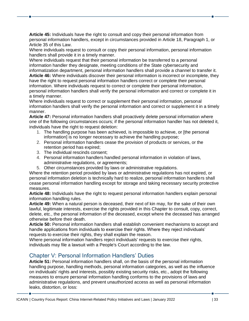**Article 45:** Individuals have the right to consult and copy their personal information from personal information handlers, except in circumstances provided in Article 18, Paragraph 1, or Article 35 of this Law.

Where individuals request to consult or copy their personal information, personal information handlers shall provide it in a timely manner.

Where individuals request that their personal information be transferred to a personal information handler they designate, meeting conditions of the State cybersecurity and informatization department, personal information handlers shall provide a channel to transfer it.

**Article 46:** Where individuals discover their personal information is incorrect or incomplete, they have the right to request personal information handlers correct or complete their personal information. Where individuals request to correct or complete their personal information, personal information handlers shall verify the personal information and correct or complete it in a timely manner.

Where individuals request to correct or supplement their personal information, personal information handlers shall verify the personal information and correct or supplement it in a timely manner.

**Article 47:** Personal information handlers shall proactively delete personal information where one of the following circumstances occurs; if the personal information handler has not deleted it, individuals have the right to request deletion:

- 1. The handling purpose has been achieved, is impossible to achieve, or [the personal information] is no longer necessary to achieve the handling purpose;
- 2. Personal information handlers cease the provision of products or services, or the retention period has expired;
- 3. The individual rescinds consent;
- 4. Personal information handlers handled personal information in violation of laws, administrative regulations, or agreements;
- 5. Other circumstances provided by laws or administrative regulations.

Where the retention period provided by laws or administrative regulations has not expired, or personal information deletion is technically hard to realize, personal information handlers shall cease personal information handling except for storage and taking necessary security protective measures.

**Article 48:** Individuals have the right to request personal information handlers explain personal information handling rules.

**Article 49:** When a natural person is deceased, their next of kin may, for the sake of their own lawful, legitimate interests, exercise the rights provided in this Chapter to consult, copy, correct, delete, etc., the personal information of the deceased, except where the deceased has arranged otherwise before their death.

**Article 50:** Personal information handlers shall establish convenient mechanisms to accept and handle applications from individuals to exercise their rights. Where they reject individuals' requests to exercise their rights, they shall explain the reason.

Where personal information handlers reject individuals' requests to exercise their rights, individuals may file a lawsuit with a People's Court according to the law.

### Chapter V: Personal Information Handlers' Duties

**Article 51:** Personal information handlers shall, on the basis of the personal information handling purpose, handling methods, personal information categories, as well as the influence on individuals' rights and interests, possibly existing security risks, etc., adopt the following measures to ensure personal information handling conforms to the provisions of laws and administrative regulations, and prevent unauthorized access as well as personal information leaks, distortion, or loss: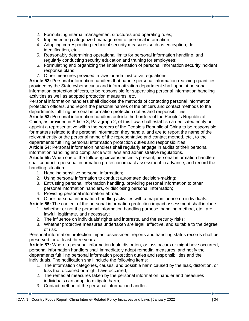- 2. Formulating internal management structures and operating rules;
- 3. Implementing categorized management of personal information;
- 4. Adopting corresponding technical security measures such as encryption, deidentification, etc.;
- 5. Reasonably determining operational limits for personal information handling, and regularly conducting security education and training for employees;
- 6. Formulating and organizing the implementation of personal information security incident response plans;
- 7. Other measures provided in laws or administrative regulations.

**Article 52:** Personal information handlers that handle personal information reaching quantities provided by the State cybersecurity and informatization department shall appoint personal information protection officers, to be responsible for supervising personal information handling activities as well as adopted protection measures, etc.

Personal information handlers shall disclose the methods of contacting personal information protection officers, and report the personal names of the officers and contact methods to the departments fulfilling personal information protection duties and responsibilities.

**Article 53:** Personal information handlers outside the borders of the People's Republic of China, as provided in Article 3, Paragraph 2, of this Law, shall establish a dedicated entity or appoint a representative within the borders of the People's Republic of China to be responsible for matters related to the personal information they handle, and are to report the name of the relevant entity or the personal name of the representative and contact method, etc., to the departments fulfilling personal information protection duties and responsibilities.

**Article 54:** Personal information handlers shall regularly engage in audits of their personal information handling and compliance with laws and administrative regulations.

**Article 55:** When one of the following circumstances is present, personal information handlers shall conduct a personal information protection impact assessment in advance, and record the handling situation:

- 1. Handling sensitive personal information;
- 2. Using personal information to conduct automated decision-making;
- 3. Entrusting personal information handling, providing personal information to other personal information handlers, or disclosing personal information;
- 4. Providing personal information abroad;
- 5. Other personal information handling activities with a major influence on individuals.

**Article 56:** The content of the personal information protection impact assessment shall include:

- 1. Whether or not the personal information handling purpose, handling method, etc., are lawful, legitimate, and necessary;
- 2. The influence on individuals' rights and interests, and the security risks;
- 3. Whether protective measures undertaken are legal, effective, and suitable to the degree of risk.

Personal information protection impact assessment reports and handling status records shall be preserved for at least three years.

**Article 57:** Where a personal information leak, distortion, or loss occurs or might have occurred, personal information handlers shall immediately adopt remedial measures, and notify the departments fulfilling personal information protection duties and responsibilities and the individuals. The notification shall include the following items:

- 1. The information categories, causes, and possible harm caused by the leak, distortion, or loss that occurred or might have occurred;
- 2. The remedial measures taken by the personal information handler and measures individuals can adopt to mitigate harm;
- 3. Contact method of the personal information handler.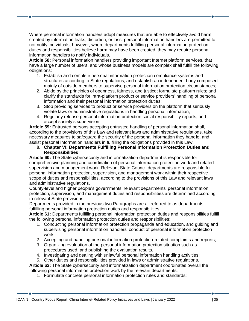Where personal information handlers adopt measures that are able to effectively avoid harm created by information leaks, distortion, or loss, personal information handlers are permitted to not notify individuals; however, where departments fulfilling personal information protection duties and responsibilities believe harm may have been created, they may require personal information handlers to notify individuals.

**Article 58:** Personal information handlers providing important Internet platform services, that have a large number of users, and whose business models are complex shall fulfill the following obligations:

- 1. Establish and complete personal information protection compliance systems and structures according to State regulations, and establish an independent body composed mainly of outside members to supervise personal information protection circumstances;
- 2. Abide by the principles of openness, fairness, and justice; formulate platform rules; and clarify the standards for intra-platform product or service providers' handling of personal information and their personal information protection duties;
- 3. Stop providing services to product or service providers on the platform that seriously violate laws or administrative regulations in handling personal information;
- 4. Regularly release personal information protection social responsibility reports, and accept society's supervision.

**Article 59:** Entrusted persons accepting entrusted handling of personal information shall, according to the provisions of this Law and relevant laws and administrative regulations, take necessary measures to safeguard the security of the personal information they handle, and assist personal information handlers in fulfilling the obligations provided in this Law.

**8. Chapter VI: Departments Fulfilling Personal Information Protection Duties and Responsibilities**

**Article 60:** The State cybersecurity and informatization department is responsible for comprehensive planning and coordination of personal information protection work and related supervision and management work. Relevant State Council departments are responsible for personal information protection, supervision, and management work within their respective scope of duties and responsibilities, according to the provisions of this Law and relevant laws and administrative regulations.

County-level and higher people's governments' relevant departments' personal information protection, supervision, and management duties and responsibilities are determined according to relevant State provisions.

Departments provided in the previous two Paragraphs are all referred to as departments fulfilling personal information protection duties and responsibilities.

**Article 61:** Departments fulfilling personal information protection duties and responsibilities fulfill the following personal information protection duties and responsibilities:

- 1. Conducting personal information protection propaganda and education, and guiding and supervising personal information handlers' conduct of personal information protection work;
- 2. Accepting and handling personal information protection-related complaints and reports;
- 3. Organizing evaluation of the personal information protection situation such as procedures used, and publishing the evaluation results.
- 4. Investigating and dealing with unlawful personal information handling activities;
- 5. Other duties and responsibilities provided in laws or administrative regulations.

**Article 62:** The State cybersecurity and informatization department coordinates overall the following personal information protection work by the relevant departments:

1. Formulate concrete personal information protection rules and standards;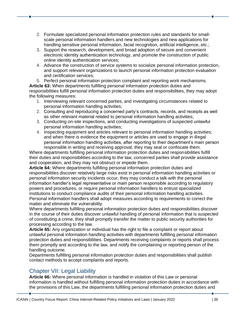- 2. Formulate specialized personal information protection rules and standards for smallscale personal information handlers and new technologies and new applications for handling sensitive personal information, facial recognition, artificial intelligence, etc.;
- 3. Support the research, development, and broad adoption of secure and convenient electronic identity authentication technology, and promote the construction of public online identity authentication services;
- 4. Advance the construction of service systems to socialize personal information protection, and support relevant organizations to launch personal information protection evaluation and certification services;

5. Perfect personal information protection complaint and reporting work mechanisms. **Article 63:** When departments fulfilling personal information protection duties and responsibilities fulfill personal information protection duties and responsibilities, they may adopt the following measures:

- 1. Interviewing relevant concerned parties, and investigating circumstances related to personal information handling activities;
- 2. Consulting and reproducing a concerned party's contracts, records, and receipts as well as other relevant material related to personal information handling activities;
- 3. Conducting on-site inspections, and conducting investigations of suspected unlawful personal information handling activities;
- 4. Inspecting equipment and articles relevant to personal information handling activities; and when there is evidence the equipment or articles are used to engage in illegal personal information handling activities, after reporting to their department's main person responsible in writing and receiving approval, they may seal or confiscate them.

Where departments fulfilling personal information protection duties and responsibilities fulfill their duties and responsibilities according to the law, concerned parties shall provide assistance and cooperation, and they may not obstruct or impede them.

**Article 64:** Where departments fulfilling personal information protection duties and responsibilities discover relatively large risks exist in personal information handling activities or personal information security incidents occur, they may conduct a talk with the personal information handler's legal representative or main person responsible according to regulatory powers and procedures, or require personal information handlers to entrust specialized institutions to conduct compliance audits of their personal information handling activities. Personal information handlers shall adopt measures according to requirements to correct the matter and eliminate the vulnerability.

Where departments fulfilling personal information protection duties and responsibilities discover in the course of their duties discover unlawful handling of personal information that is suspected of constituting a crime, they shall promptly transfer the matter to public security authorities for processing according to the law.

**Article 65:** Any organization or individual has the right to file a complaint or report about unlawful personal information handling activities with departments fulfilling personal information protection duties and responsibilities. Departments receiving complaints or reports shall process them promptly and according to the law, and notify the complaining or reporting person of the handling outcome.

Departments fulfilling personal information protection duties and responsibilities shall publish contact methods to accept complaints and reports.

### Chapter VII: Legal Liability

**Article 66:** Where personal information is handled in violation of this Law or personal information is handled without fulfilling personal information protection duties in accordance with the provisions of this Law, the departments fulfilling personal information protection duties and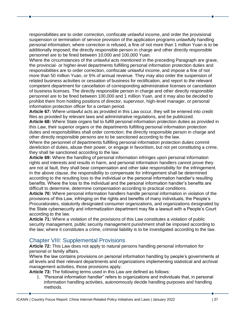responsibilities are to order correction, confiscate unlawful income, and order the provisional suspension or termination of service provision of the application programs unlawfully handling personal information; where correction is refused, a fine of not more than 1 million Yuan is to be additionally imposed; the directly responsible person in charge and other directly responsible personnel are to be fined between 10,000 and 100,000 Yuan.

Where the circumstances of the unlawful acts mentioned in the preceding Paragraph are grave, the provincial- or higher-level departments fulfilling personal information protection duties and responsibilities are to order correction, confiscate unlawful income, and impose a fine of not more than 50 million Yuan, or 5% of annual revenue. They may also order the suspension of related business activities or cessation of business for rectification, and report to the relevant competent department for cancellation of corresponding administrative licenses or cancellation of business licenses. The directly responsible person in charge and other directly responsible personnel are to be fined between 100,000 and 1 million Yuan, and it may also be decided to prohibit them from holding positions of director, supervisor, high-level manager, or personal information protection officer for a certain period.

**Article 67:** Where unlawful acts as provided in this Law occur, they will be entered into credit files as provided by relevant laws and administrative regulations, and be publicized.

**Article 68:** Where State organs fail to fulfill personal information protection duties as provided in this Law, their superior organs or the departments fulfilling personal information protection duties and responsibilities shall order correction; the directly responsible person in charge and other directly responsible persons are to be sanctioned according to the law.

Where the personnel of departments fulfilling personal information protection duties commit dereliction of duties, abuse their power, or engage in favoritism, but not yet constituting a crime, they shall be sanctioned according to the law.

**Article 69:** Where the handling of personal information infringes upon personal information rights and interests and results in harm, and personal information handlers cannot prove they are not at fault, they shall bear compensation and other take responsibility for the infringement. In the above clause, the responsibility to compensate for infringement shall be determined according to the resulting loss to the individual or the personal information handler's resulting benefits. Where the loss to the individual and the personal information handler's benefits are difficult to determine, determine compensation according to practical conditions.

**Article 70:** Where personal information handlers handle personal information in violation of the provisions of this Law, infringing on the rights and benefits of many individuals, the People's Procuratorates, statutorily designated consumer organizations, and organizations designated by the State cybersecurity and informatization department may file a lawsuit with a People's Court according to the law.

**Article 71:** Where a violation of the provisions of this Law constitutes a violation of public security management, public security management punishment shall be imposed according to the law; where it constitutes a crime, criminal liability is to be investigated according to the law.

#### Chapter VIII: Supplemental Provisions

**Article 72:** This Law does not apply to natural persons handling personal information for personal or family affairs.

Where the law contains provisions on personal information handling by people's governments at all levels and their relevant departments and organizations implementing statistical and archival management activities, those provisions apply.

**Article 73:** The following terms used in this Law are defined as follows:

1. "Personal information handler" refers to organizations and individuals that, in personal information handling activities, autonomously decide handling purposes and handling methods.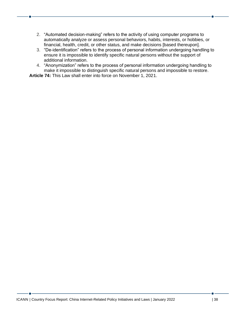- 2. "Automated decision-making" refers to the activity of using computer programs to automatically analyze or assess personal behaviors, habits, interests, or hobbies, or financial, health, credit, or other status, and make decisions [based thereupon].
- 3. "De-identification" refers to the process of personal information undergoing handling to ensure it is impossible to identify specific natural persons without the support of additional information.
- 4. "Anonymization" refers to the process of personal information undergoing handling to make it impossible to distinguish specific natural persons and impossible to restore.

**Article 74:** This Law shall enter into force on November 1, 2021.